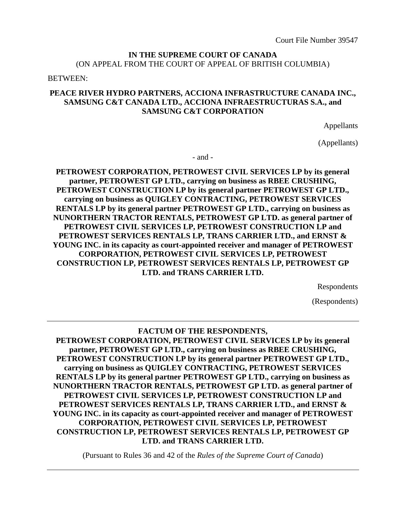### **IN THE SUPREME COURT OF CANADA** (ON APPEAL FROM THE COURT OF APPEAL OF BRITISH COLUMBIA)

#### BETWEEN:

### **PEACE RIVER HYDRO PARTNERS, ACCIONA INFRASTRUCTURE CANADA INC., SAMSUNG C&T CANADA LTD., ACCIONA INFRAESTRUCTURAS S.A., and SAMSUNG C&T CORPORATION**

Appellants

(Appellants)

- and -

**PETROWEST CORPORATION, PETROWEST CIVIL SERVICES LP by its general partner, PETROWEST GP LTD., carrying on business as RBEE CRUSHING, PETROWEST CONSTRUCTION LP by its general partner PETROWEST GP LTD., carrying on business as QUIGLEY CONTRACTING, PETROWEST SERVICES RENTALS LP by its general partner PETROWEST GP LTD., carrying on business as NUNORTHERN TRACTOR RENTALS, PETROWEST GP LTD. as general partner of PETROWEST CIVIL SERVICES LP, PETROWEST CONSTRUCTION LP and PETROWEST SERVICES RENTALS LP, TRANS CARRIER LTD., and ERNST & YOUNG INC. in its capacity as court-appointed receiver and manager of PETROWEST CORPORATION, PETROWEST CIVIL SERVICES LP, PETROWEST CONSTRUCTION LP, PETROWEST SERVICES RENTALS LP, PETROWEST GP LTD. and TRANS CARRIER LTD.**

Respondents

(Respondents)

## **FACTUM OF THE RESPONDENTS, PETROWEST CORPORATION, PETROWEST CIVIL SERVICES LP by its general partner, PETROWEST GP LTD., carrying on business as RBEE CRUSHING, PETROWEST CONSTRUCTION LP by its general partner PETROWEST GP LTD., carrying on business as QUIGLEY CONTRACTING, PETROWEST SERVICES RENTALS LP by its general partner PETROWEST GP LTD., carrying on business as NUNORTHERN TRACTOR RENTALS, PETROWEST GP LTD. as general partner of PETROWEST CIVIL SERVICES LP, PETROWEST CONSTRUCTION LP and PETROWEST SERVICES RENTALS LP, TRANS CARRIER LTD., and ERNST & YOUNG INC. in its capacity as court-appointed receiver and manager of PETROWEST CORPORATION, PETROWEST CIVIL SERVICES LP, PETROWEST CONSTRUCTION LP, PETROWEST SERVICES RENTALS LP, PETROWEST GP LTD. and TRANS CARRIER LTD.**

(Pursuant to Rules 36 and 42 of the *Rules of the Supreme Court of Canada*)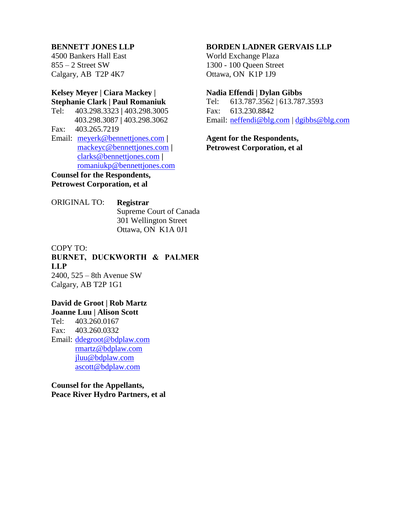#### **BENNETT JONES LLP**

4500 Bankers Hall East  $855 - 2$  Street SW Calgary, AB T2P 4K7

## **Kelsey Meyer | Ciara Mackey | Stephanie Clark | Paul Romaniuk**

- Tel: 403.298.3323 **|** 403.298.3005 403.298.3087 **|** 403.298.3062 Fax: 403.265.7219
- Email: [meyerk@bennettjones.com](mailto:meyerk@bennettjones.com) **|** [mackeyc@bennettjones.com](mailto:mackeyc@bennettjones.com) **|** [clarks@bennettjones.com](mailto:clarks@bennettjones.com) **|** [romaniukp@bennettjones.com](mailto:romaniukp@bennettjones.com)

**Counsel for the Respondents, Petrowest Corporation, et al**

### ORIGINAL TO: **Registrar** Supreme Court of Canada 301 Wellington Street Ottawa, ON K1A 0J1

COPY TO: **BURNET, DUCKWORTH & PALMER LLP** 2400, 525 – 8th Avenue SW Calgary, AB T2P 1G1

### **David de Groot | Rob Martz Joanne Luu | Alison Scott** Tel: 403.260.0167

Fax: 403.260.0332 Email: [ddegroot@bdplaw.com](mailto:ddegroot@bdplaw.com) rmartz@bdplaw.com jluu@bdplaw.com [ascott@bdplaw.com](mailto:ascott@bdplaw.com)

## **Counsel for the Appellants, Peace River Hydro Partners, et al**

#### **BORDEN LADNER GERVAIS LLP**

World Exchange Plaza 1300 - 100 Queen Street Ottawa, ON K1P 1J9

#### **Nadia Effendi | Dylan Gibbs**

Tel: 613.787.3562 | 613.787.3593 Fax: 613.230.8842 Email: [neffendi@blg.com](mailto:neffendi@blg.com) | [dgibbs@blg.com](mailto:dgibbs@blg.com)

**Agent for the Respondents, Petrowest Corporation, et al**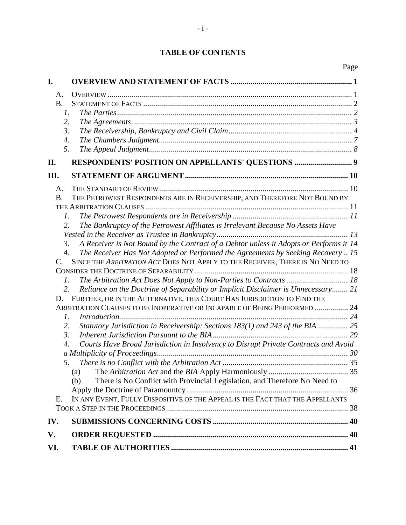## **TABLE OF CONTENTS**

|           |                                                                                                         | Page |
|-----------|---------------------------------------------------------------------------------------------------------|------|
| I.        |                                                                                                         |      |
| A.        |                                                                                                         |      |
| <b>B.</b> |                                                                                                         |      |
|           | $\mathfrak{1}.$                                                                                         |      |
|           | 2.                                                                                                      |      |
|           | 3.                                                                                                      |      |
|           | 4.                                                                                                      |      |
|           | 5.                                                                                                      |      |
| П.        | RESPONDENTS' POSITION ON APPELLANTS' QUESTIONS  9                                                       |      |
| III.      |                                                                                                         |      |
| A.        |                                                                                                         |      |
| <b>B.</b> | THE PETROWEST RESPONDENTS ARE IN RECEIVERSHIP, AND THEREFORE NOT BOUND BY                               |      |
|           |                                                                                                         |      |
|           | $\mathcal{I}$ .                                                                                         |      |
|           | The Bankruptcy of the Petrowest Affiliates is Irrelevant Because No Assets Have<br>2.                   |      |
|           |                                                                                                         |      |
|           | A Receiver is Not Bound by the Contract of a Debtor unless it Adopts or Performs it 14<br>3.            |      |
|           | $\overline{4}$ .<br>The Receiver Has Not Adopted or Performed the Agreements by Seeking Recovery  15    |      |
| C.        | SINCE THE ARBITRATION ACT DOES NOT APPLY TO THE RECEIVER, THERE IS NO NEED TO                           |      |
|           | 1.                                                                                                      |      |
|           | Reliance on the Doctrine of Separability or Implicit Disclaimer is Unnecessary 21<br>2.                 |      |
| D.        | FURTHER, OR IN THE ALTERNATIVE, THIS COURT HAS JURISDICTION TO FIND THE                                 |      |
|           | ARBITRATION CLAUSES TO BE INOPERATIVE OR INCAPABLE OF BEING PERFORMED  24                               |      |
|           | 1.                                                                                                      |      |
|           | Statutory Jurisdiction in Receivership: Sections 183(1) and 243 of the BIA  25<br>2.                    |      |
|           | $\mathfrak{Z}$ .                                                                                        |      |
|           | Courts Have Broad Jurisdiction in Insolvency to Disrupt Private Contracts and Avoid<br>$\overline{4}$ . |      |
|           |                                                                                                         |      |
|           | 5.                                                                                                      |      |
|           | (a)                                                                                                     |      |
|           | There is No Conflict with Provincial Legislation, and Therefore No Need to<br>(b)                       |      |
|           |                                                                                                         |      |
| Е.        | IN ANY EVENT, FULLY DISPOSITIVE OF THE APPEAL IS THE FACT THAT THE APPELLANTS                           |      |
|           |                                                                                                         |      |
| IV.       |                                                                                                         |      |
| V.        |                                                                                                         |      |
| VI.       |                                                                                                         |      |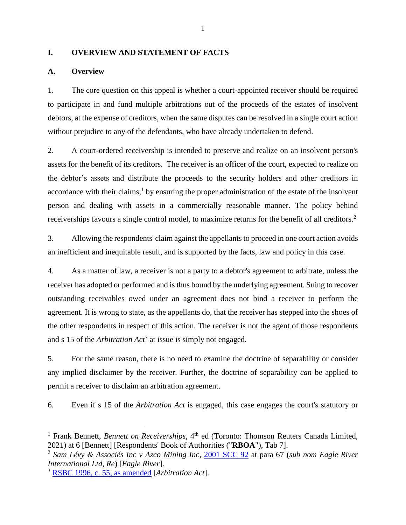#### <span id="page-3-0"></span>**I. OVERVIEW AND STATEMENT OF FACTS**

### <span id="page-3-1"></span>**A. Overview**

1. The core question on this appeal is whether a court-appointed receiver should be required to participate in and fund multiple arbitrations out of the proceeds of the estates of insolvent debtors, at the expense of creditors, when the same disputes can be resolved in a single court action without prejudice to any of the defendants, who have already undertaken to defend.

<span id="page-3-2"></span>2. A court-ordered receivership is intended to preserve and realize on an insolvent person's assets for the benefit of its creditors. The receiver is an officer of the court, expected to realize on the debtor's assets and distribute the proceeds to the security holders and other creditors in accordance with their claims, 1 by ensuring the proper administration of the estate of the insolvent person and dealing with assets in a commercially reasonable manner. The policy behind receiverships favours a single control model, to maximize returns for the benefit of all creditors.<sup>2</sup>

<span id="page-3-3"></span>3. Allowing the respondents' claim against the appellants to proceed in one court action avoids an inefficient and inequitable result, and is supported by the facts, law and policy in this case.

4. As a matter of law, a receiver is not a party to a debtor's agreement to arbitrate, unless the receiver has adopted or performed and is thus bound by the underlying agreement. Suing to recover outstanding receivables owed under an agreement does not bind a receiver to perform the agreement. It is wrong to state, as the appellants do, that the receiver has stepped into the shoes of the other respondents in respect of this action. The receiver is not the agent of those respondents and s 15 of the *Arbitration Act<sup>3</sup>* at issue is simply not engaged.

<span id="page-3-4"></span>5. For the same reason, there is no need to examine the doctrine of separability or consider any implied disclaimer by the receiver. Further, the doctrine of separability *can* be applied to permit a receiver to disclaim an arbitration agreement.

6. Even if s 15 of the *Arbitration Act* is engaged, this case engages the court's statutory or

<sup>&</sup>lt;sup>1</sup> Frank Bennett, *Bennett on Receiverships*, 4<sup>th</sup> ed (Toronto: Thomson Reuters Canada Limited, 2021) at 6 [Bennett] [Respondents' Book of Authorities ("**RBOA**"), Tab 7].

<sup>2</sup> *Sam Lévy & Associés Inc v Azco Mining Inc*, [2001 SCC 92](https://canlii.ca/t/51w9#par67) at para 67 (*sub nom Eagle River International Ltd, Re*) [*Eagle River*].

<sup>3</sup> [RSBC 1996, c. 55, as amended](https://www.bclaws.gov.bc.ca/civix/document/id/consol21/consol21/00_96055_01#section15) [*Arbitration Act*].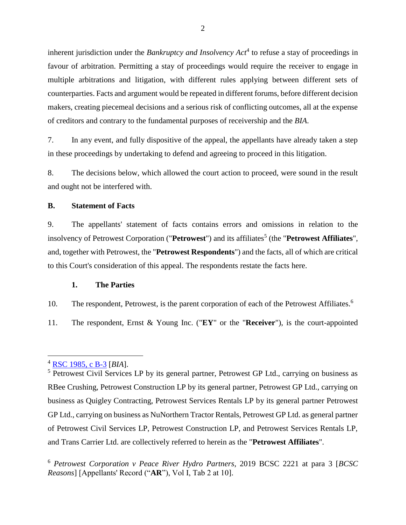<span id="page-4-3"></span>inherent jurisdiction under the *Bankruptcy and Insolvency Act*<sup>4</sup> to refuse a stay of proceedings in favour of arbitration. Permitting a stay of proceedings would require the receiver to engage in multiple arbitrations and litigation, with different rules applying between different sets of counterparties. Facts and argument would be repeated in different forums, before different decision makers, creating piecemeal decisions and a serious risk of conflicting outcomes, all at the expense of creditors and contrary to the fundamental purposes of receivership and the *BIA*.

7. In any event, and fully dispositive of the appeal, the appellants have already taken a step in these proceedings by undertaking to defend and agreeing to proceed in this litigation.

8. The decisions below, which allowed the court action to proceed, were sound in the result and ought not be interfered with.

#### <span id="page-4-0"></span>**B. Statement of Facts**

9. The appellants' statement of facts contains errors and omissions in relation to the insolvency of Petrowest Corporation ("Petrowest") and its affiliates<sup>5</sup> (the "Petrowest Affiliates", and, together with Petrowest, the "**Petrowest Respondents**") and the facts, all of which are critical to this Court's consideration of this appeal. The respondents restate the facts here.

#### <span id="page-4-2"></span>**1. The Parties**

<span id="page-4-1"></span>10. The respondent, Petrowest, is the parent corporation of each of the Petrowest Affiliates.<sup>6</sup>

11. The respondent, Ernst & Young Inc. ("**EY**" or the "**Receiver**"), is the court-appointed

<sup>4</sup> [RSC 1985, c B-3](https://laws-lois.justice.gc.ca/eng/acts/b-3/FullText.html) [*BIA*].

<sup>&</sup>lt;sup>5</sup> Petrowest Civil Services LP by its general partner, Petrowest GP Ltd., carrying on business as RBee Crushing, Petrowest Construction LP by its general partner, Petrowest GP Ltd., carrying on business as Quigley Contracting, Petrowest Services Rentals LP by its general partner Petrowest GP Ltd., carrying on business as NuNorthern Tractor Rentals, Petrowest GP Ltd. as general partner of Petrowest Civil Services LP, Petrowest Construction LP, and Petrowest Services Rentals LP, and Trans Carrier Ltd. are collectively referred to herein as the "**Petrowest Affiliates**".

<sup>6</sup> *Petrowest Corporation v Peace River Hydro Partners*, 2019 BCSC 2221 at para 3 [*BCSC Reasons*] [Appellants' Record ("**AR**"), Vol I, Tab 2 at 10].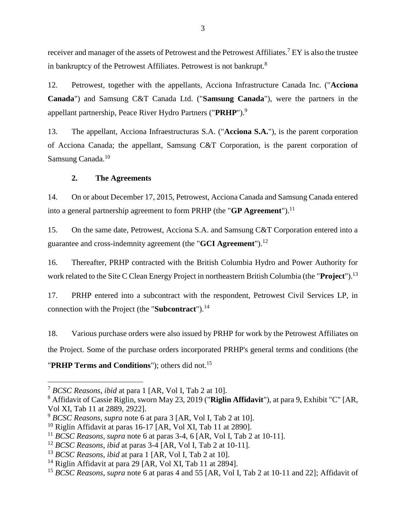receiver and manager of the assets of Petrowest and the Petrowest Affiliates.<sup>7</sup> EY is also the trustee in bankruptcy of the Petrowest Affiliates. Petrowest is not bankrupt.<sup>8</sup>

<span id="page-5-1"></span>12. Petrowest, together with the appellants, Acciona Infrastructure Canada Inc. ("**Acciona Canada**") and Samsung C&T Canada Ltd. ("**Samsung Canada**"), were the partners in the appellant partnership, Peace River Hydro Partners ("**PRHP**").<sup>9</sup>

13. The appellant, Acciona Infraestructuras S.A. ("**Acciona S.A.**"), is the parent corporation of Acciona Canada; the appellant, Samsung C&T Corporation, is the parent corporation of Samsung Canada.<sup>10</sup>

### **2. The Agreements**

<span id="page-5-0"></span>14. On or about December 17, 2015, Petrowest, Acciona Canada and Samsung Canada entered into a general partnership agreement to form PRHP (the "**GP Agreement**").<sup>11</sup>

15. On the same date, Petrowest, Acciona S.A. and Samsung C&T Corporation entered into a guarantee and cross-indemnity agreement (the "**GCI Agreement**").<sup>12</sup>

16. Thereafter, PRHP contracted with the British Columbia Hydro and Power Authority for work related to the Site C Clean Energy Project in northeastern British Columbia (the "**Project**").<sup>13</sup>

17. PRHP entered into a subcontract with the respondent, Petrowest Civil Services LP, in connection with the Project (the "**Subcontract**").<sup>14</sup>

18. Various purchase orders were also issued by PRHP for work by the Petrowest Affiliates on the Project. Some of the purchase orders incorporated PRHP's general terms and conditions (the "**PRHP Terms and Conditions**"); others did not.<sup>15</sup>

<sup>7</sup> *BCSC Reasons*, *ibid* at para 1 [AR, Vol I, Tab 2 at 10].

<sup>8</sup> Affidavit of Cassie Riglin, sworn May 23, 2019 ("**Riglin Affidavit**"), at para 9, Exhibit "C" [AR, Vol XI, Tab 11 at 2889, 2922].

<sup>9</sup> *BCSC Reasons*, *supra* note [6](#page-4-2) at para 3 [AR, Vol I, Tab 2 at 10].

<sup>&</sup>lt;sup>10</sup> Riglin Affidavit at paras  $16-17$  [AR, Vol XI, Tab 11 at 2890].

<sup>11</sup> *BCSC Reasons*, *supra* note [6](#page-4-2) at paras 3-4, 6 [AR, Vol I, Tab 2 at 10-11].

<sup>12</sup> *BCSC Reasons*, *ibid* at paras 3-4 [AR, Vol I, Tab 2 at 10-11].

<sup>13</sup> *BCSC Reasons*, *ibid* at para 1 [AR, Vol I, Tab 2 at 10].

<sup>&</sup>lt;sup>14</sup> Riglin Affidavit at para 29 [AR, Vol XI, Tab 11 at 2894].

<sup>&</sup>lt;sup>15</sup> *BCSC Reasons*, *supra* note [6](#page-4-2) at paras 4 and 55 [AR, Vol I, Tab 2 at 10-11 and 22]; Affidavit of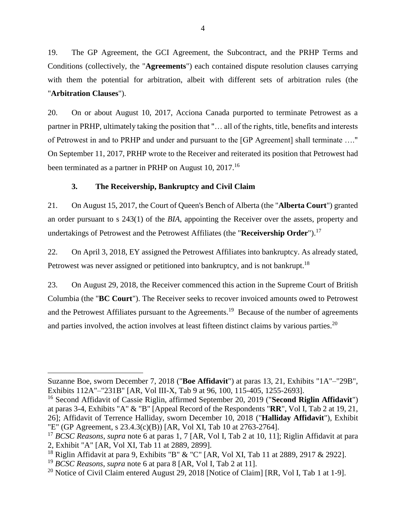19. The GP Agreement, the GCI Agreement, the Subcontract, and the PRHP Terms and Conditions (collectively, the "**Agreements**") each contained dispute resolution clauses carrying with them the potential for arbitration, albeit with different sets of arbitration rules (the "**Arbitration Clauses**").

20. On or about August 10, 2017, Acciona Canada purported to terminate Petrowest as a partner in PRHP, ultimately taking the position that "… all of the rights, title, benefits and interests of Petrowest in and to PRHP and under and pursuant to the [GP Agreement] shall terminate …." On September 11, 2017, PRHP wrote to the Receiver and reiterated its position that Petrowest had been terminated as a partner in PRHP on August 10, 2017.<sup>16</sup>

## **3. The Receivership, Bankruptcy and Civil Claim**

<span id="page-6-0"></span>21. On August 15, 2017, the Court of Queen's Bench of Alberta (the "**Alberta Court**") granted an order pursuant to s 243(1) of the *BIA*, appointing the Receiver over the assets, property and undertakings of Petrowest and the Petrowest Affiliates (the "**Receivership Order**").<sup>17</sup>

22. On April 3, 2018, EY assigned the Petrowest Affiliates into bankruptcy. As already stated, Petrowest was never assigned or petitioned into bankruptcy, and is not bankrupt.<sup>18</sup>

<span id="page-6-1"></span>23. On August 29, 2018, the Receiver commenced this action in the Supreme Court of British Columbia (the "**BC Court**"). The Receiver seeks to recover invoiced amounts owed to Petrowest and the Petrowest Affiliates pursuant to the Agreements.<sup>19</sup> Because of the number of agreements and parties involved, the action involves at least fifteen distinct claims by various parties.<sup>20</sup>

Suzanne Boe, sworn December 7, 2018 ("**Boe Affidavit**") at paras 13, 21, Exhibits "1A"–"29B", Exhibits 112A"–"231B" [AR, Vol III-X, Tab 9 at 96, 100, 115-405, 1255-2693].

<sup>16</sup> Second Affidavit of Cassie Riglin, affirmed September 20, 2019 ("**Second Riglin Affidavit**") at paras 3-4, Exhibits "A" & "B" [Appeal Record of the Respondents "**RR**", Vol I, Tab 2 at 19, 21, 26]; Affidavit of Terrence Halliday, sworn December 10, 2018 ("**Halliday Affidavit**"), Exhibit "E" (GP Agreement, s 23.4.3(c)(B)) [AR, Vol XI, Tab 10 at 2763-2764].

<sup>17</sup> *BCSC Reasons*, *supra* note [6](#page-4-2) at paras 1, 7 [AR, Vol I, Tab 2 at 10, 11]; Riglin Affidavit at para 2, Exhibit "A" [AR, Vol XI, Tab 11 at 2889, 2899].

<sup>&</sup>lt;sup>18</sup> Riglin Affidavit at para 9, Exhibits "B" & "C" [AR, Vol XI, Tab 11 at 2889, 2917 & 2922].

<sup>19</sup> *BCSC Reasons*, *supra* note [6](#page-4-2) at para 8 [AR, Vol I, Tab 2 at 11].

<sup>&</sup>lt;sup>20</sup> Notice of Civil Claim entered August 29, 2018 [Notice of Claim] [RR, Vol I, Tab 1 at 1-9].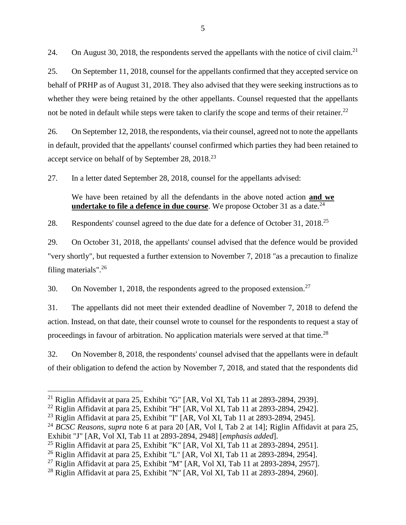24. On August 30, 2018, the respondents served the appellants with the notice of civil claim.<sup>21</sup>

25. On September 11, 2018, counsel for the appellants confirmed that they accepted service on behalf of PRHP as of August 31, 2018. They also advised that they were seeking instructions as to whether they were being retained by the other appellants. Counsel requested that the appellants not be noted in default while steps were taken to clarify the scope and terms of their retainer.<sup>22</sup>

26. On September 12, 2018, the respondents, via their counsel, agreed not to note the appellants in default, provided that the appellants' counsel confirmed which parties they had been retained to accept service on behalf of by September 28, 2018.<sup>23</sup>

27. In a letter dated September 28, 2018, counsel for the appellants advised:

We have been retained by all the defendants in the above noted action **and we undertake to file a defence in due course**. We propose October 31 as a date.<sup>24</sup>

28. Respondents' counsel agreed to the due date for a defence of October 31, 2018.<sup>25</sup>

29. On October 31, 2018, the appellants' counsel advised that the defence would be provided "very shortly", but requested a further extension to November 7, 2018 "as a precaution to finalize filing materials".<sup>26</sup>

30. On November 1, 2018, the respondents agreed to the proposed extension.<sup>27</sup>

31. The appellants did not meet their extended deadline of November 7, 2018 to defend the action. Instead, on that date, their counsel wrote to counsel for the respondents to request a stay of proceedings in favour of arbitration. No application materials were served at that time.<sup>28</sup>

32. On November 8, 2018, the respondents' counsel advised that the appellants were in default of their obligation to defend the action by November 7, 2018, and stated that the respondents did

<sup>&</sup>lt;sup>21</sup> Riglin Affidavit at para 25, Exhibit "G" [AR, Vol XI, Tab 11 at 2893-2894, 2939].

<sup>&</sup>lt;sup>22</sup> Riglin Affidavit at para 25, Exhibit "H" [AR, Vol XI, Tab 11 at 2893-2894, 2942].

<sup>&</sup>lt;sup>23</sup> Riglin Affidavit at para 25, Exhibit "I" [AR, Vol XI, Tab 11 at 2893-2894, 2945].

<sup>24</sup> *BCSC Reasons*, *supra* note [6](#page-4-2) at para 20 [AR, Vol I, Tab 2 at 14]; Riglin Affidavit at para 25, Exhibit "J" [AR, Vol XI, Tab 11 at 2893-2894, 2948] [*emphasis added*].

<sup>&</sup>lt;sup>25</sup> Riglin Affidavit at para 25, Exhibit "K" [AR, Vol XI, Tab 11 at 2893-2894, 2951].

<sup>&</sup>lt;sup>26</sup> Riglin Affidavit at para 25, Exhibit "L" [AR, Vol XI, Tab 11 at 2893-2894, 2954].

<sup>&</sup>lt;sup>27</sup> Riglin Affidavit at para 25, Exhibit "M" [AR, Vol XI, Tab 11 at 2893-2894, 2957].

<sup>&</sup>lt;sup>28</sup> Riglin Affidavit at para 25, Exhibit "N" [AR, Vol XI, Tab 11 at 2893-2894, 2960].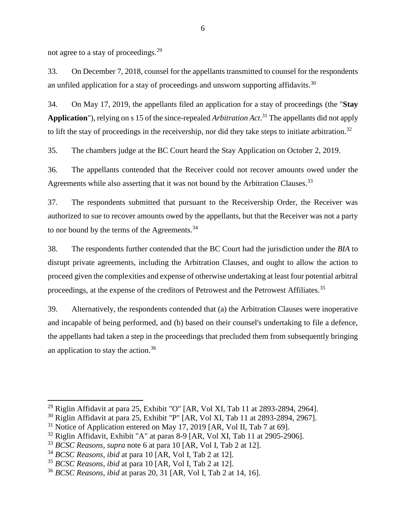not agree to a stay of proceedings.<sup>29</sup>

33. On December 7, 2018, counsel for the appellants transmitted to counsel for the respondents an unfiled application for a stay of proceedings and unsworn supporting affidavits.<sup>30</sup>

34. On May 17, 2019, the appellants filed an application for a stay of proceedings (the "**Stay Application**"), relying on s 15 of the since-repealed *Arbitration Act*. <sup>31</sup> The appellants did not apply to lift the stay of proceedings in the receivership, nor did they take steps to initiate arbitration.<sup>32</sup>

35. The chambers judge at the BC Court heard the Stay Application on October 2, 2019.

36. The appellants contended that the Receiver could not recover amounts owed under the Agreements while also asserting that it was not bound by the Arbitration Clauses.<sup>33</sup>

37. The respondents submitted that pursuant to the Receivership Order, the Receiver was authorized to sue to recover amounts owed by the appellants, but that the Receiver was not a party to nor bound by the terms of the Agreements.<sup>34</sup>

38. The respondents further contended that the BC Court had the jurisdiction under the *BIA* to disrupt private agreements, including the Arbitration Clauses, and ought to allow the action to proceed given the complexities and expense of otherwise undertaking at least four potential arbitral proceedings, at the expense of the creditors of Petrowest and the Petrowest Affiliates.<sup>35</sup>

39. Alternatively, the respondents contended that (a) the Arbitration Clauses were inoperative and incapable of being performed, and (b) based on their counsel's undertaking to file a defence, the appellants had taken a step in the proceedings that precluded them from subsequently bringing an application to stay the action.<sup>36</sup>

<sup>&</sup>lt;sup>29</sup> Riglin Affidavit at para 25, Exhibit "O" [AR, Vol XI, Tab 11 at 2893-2894, 2964].

<sup>30</sup> Riglin Affidavit at para 25, Exhibit "P" [AR, Vol XI, Tab 11 at 2893-2894, 2967].

 $31$  Notice of Application entered on May 17, 2019 [AR, Vol II, Tab 7 at 69].

 $32$  Riglin Affidavit, Exhibit "A" at paras 8-9 [AR, Vol XI, Tab 11 at 2905-2906].

<sup>33</sup> *BCSC Reasons*, *supra* note [6](#page-4-2) at para 10 [AR, Vol I, Tab 2 at 12].

<sup>34</sup> *BCSC Reasons*, *ibid* at para 10 [AR, Vol I, Tab 2 at 12].

<sup>35</sup> *BCSC Reasons*, *ibid* at para 10 [AR, Vol I, Tab 2 at 12].

<sup>36</sup> *BCSC Reasons*, *ibid* at paras 20, 31 [AR, Vol I, Tab 2 at 14, 16].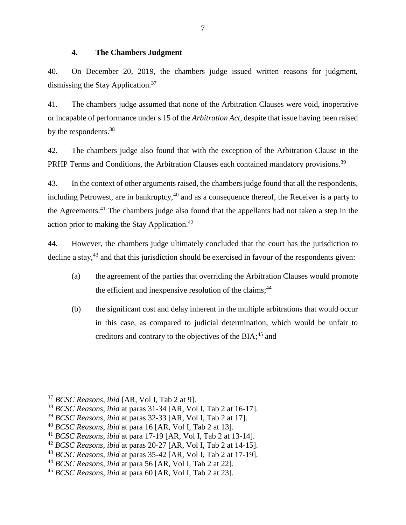#### **4. The Chambers Judgment**

<span id="page-9-0"></span>40. On December 20, 2019, the chambers judge issued written reasons for judgment, dismissing the Stay Application.<sup>37</sup>

41. The chambers judge assumed that none of the Arbitration Clauses were void, inoperative or incapable of performance under s 15 of the *Arbitration Act*, despite that issue having been raised by the respondents.<sup>38</sup>

42. The chambers judge also found that with the exception of the Arbitration Clause in the PRHP Terms and Conditions, the Arbitration Clauses each contained mandatory provisions.<sup>39</sup>

43. In the context of other arguments raised, the chambers judge found that all the respondents, including Petrowest, are in bankruptcy,  $40$  and as a consequence thereof, the Receiver is a party to the Agreements.<sup>41</sup> The chambers judge also found that the appellants had not taken a step in the action prior to making the Stay Application.<sup>42</sup>

44. However, the chambers judge ultimately concluded that the court has the jurisdiction to decline a stay, $43$  and that this jurisdiction should be exercised in favour of the respondents given:

- (a) the agreement of the parties that overriding the Arbitration Clauses would promote the efficient and inexpensive resolution of the claims; $44$
- (b) the significant cost and delay inherent in the multiple arbitrations that would occur in this case, as compared to judicial determination, which would be unfair to creditors and contrary to the objectives of the BIA:<sup>45</sup> and

<sup>37</sup> *BCSC Reasons*, *ibid* [AR, Vol I, Tab 2 at 9].

<sup>38</sup> *BCSC Reasons*, *ibid* at paras 31-34 [AR, Vol I, Tab 2 at 16-17].

<sup>39</sup> *BCSC Reasons*, *ibid* at paras 32-33 [AR, Vol I, Tab 2 at 17].

<sup>40</sup> *BCSC Reasons*, *ibid* at para 16 [AR, Vol I, Tab 2 at 13].

<sup>41</sup> *BCSC Reasons*, *ibid* at para 17-19 [AR, Vol I, Tab 2 at 13-14].

<sup>42</sup> *BCSC Reasons*, *ibid* at paras 20-27 [AR, Vol I, Tab 2 at 14-15].

<sup>43</sup> *BCSC Reasons*, *ibid* at paras 35-42 [AR, Vol I, Tab 2 at 17-19].

<sup>44</sup> *BCSC Reasons*, *ibid* at para 56 [AR, Vol I, Tab 2 at 22].

<sup>45</sup> *BCSC Reasons*, *ibid* at para 60 [AR, Vol I, Tab 2 at 23].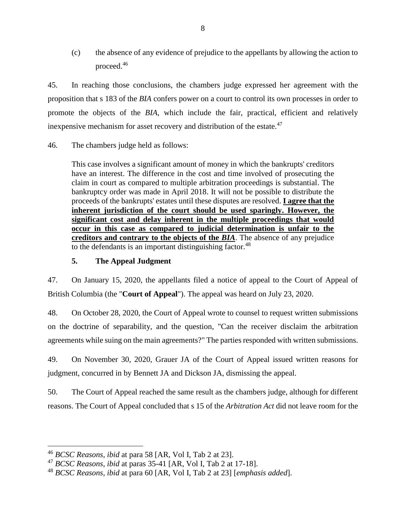(c) the absence of any evidence of prejudice to the appellants by allowing the action to proceed. 46

45. In reaching those conclusions, the chambers judge expressed her agreement with the proposition that s 183 of the *BIA* confers power on a court to control its own processes in order to promote the objects of the *BIA*, which include the fair, practical, efficient and relatively inexpensive mechanism for asset recovery and distribution of the estate. $47$ 

46. The chambers judge held as follows:

This case involves a significant amount of money in which the bankrupts' creditors have an interest. The difference in the cost and time involved of prosecuting the claim in court as compared to multiple arbitration proceedings is substantial. The bankruptcy order was made in April 2018. It will not be possible to distribute the proceeds of the bankrupts' estates until these disputes are resolved. **I agree that the inherent jurisdiction of the court should be used sparingly. However, the significant cost and delay inherent in the multiple proceedings that would occur in this case as compared to judicial determination is unfair to the creditors and contrary to the objects of the** *BIA*. The absence of any prejudice to the defendants is an important distinguishing factor.  $48$ 

## **5. The Appeal Judgment**

<span id="page-10-0"></span>47. On January 15, 2020, the appellants filed a notice of appeal to the Court of Appeal of British Columbia (the "**Court of Appeal**"). The appeal was heard on July 23, 2020.

48. On October 28, 2020, the Court of Appeal wrote to counsel to request written submissions on the doctrine of separability, and the question, "Can the receiver disclaim the arbitration agreements while suing on the main agreements?" The parties responded with written submissions.

49. On November 30, 2020, Grauer JA of the Court of Appeal issued written reasons for judgment, concurred in by Bennett JA and Dickson JA, dismissing the appeal.

50. The Court of Appeal reached the same result as the chambers judge, although for different reasons. The Court of Appeal concluded that s 15 of the *Arbitration Act* did not leave room for the

<sup>46</sup> *BCSC Reasons*, *ibid* at para 58 [AR, Vol I, Tab 2 at 23].

<sup>47</sup> *BCSC Reasons*, *ibid* at paras 35-41 [AR, Vol I, Tab 2 at 17-18].

<sup>48</sup> *BCSC Reasons*, *ibid* at para 60 [AR, Vol I, Tab 2 at 23] [*emphasis added*].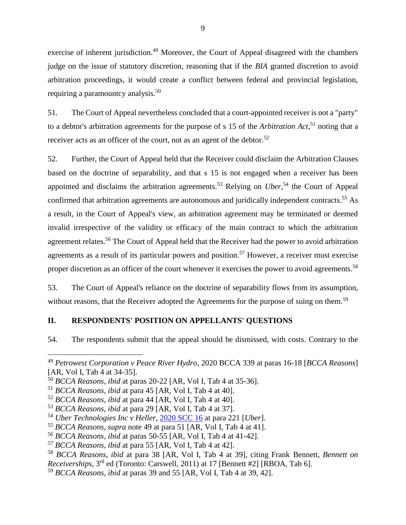<span id="page-11-1"></span>exercise of inherent jurisdiction.<sup>49</sup> Moreover, the Court of Appeal disagreed with the chambers judge on the issue of statutory discretion, reasoning that if the *BIA* granted discretion to avoid arbitration proceedings, it would create a conflict between federal and provincial legislation, requiring a paramountcy analysis.<sup>50</sup>

51. The Court of Appeal nevertheless concluded that a court-appointed receiver is not a "party" to a debtor's arbitration agreements for the purpose of s 15 of the *Arbitration Act,* <sup>51</sup> noting that a receiver acts as an officer of the court, not as an agent of the debtor.<sup>52</sup>

<span id="page-11-3"></span>52. Further, the Court of Appeal held that the Receiver could disclaim the Arbitration Clauses based on the doctrine of separability, and that s 15 is not engaged when a receiver has been appointed and disclaims the arbitration agreements.<sup>53</sup> Relying on *Uber*,<sup>54</sup> the Court of Appeal confirmed that arbitration agreements are autonomous and juridically independent contracts.<sup>55</sup> As a result, in the Court of Appeal's view, an arbitration agreement may be terminated or deemed invalid irrespective of the validity or efficacy of the main contract to which the arbitration agreement relates.<sup>56</sup> The Court of Appeal held that the Receiver had the power to avoid arbitration agreements as a result of its particular powers and position.<sup>57</sup> However, a receiver must exercise proper discretion as an officer of the court whenever it exercises the power to avoid agreements.<sup>58</sup>

<span id="page-11-2"></span>53. The Court of Appeal's reliance on the doctrine of separability flows from its assumption, without reasons, that the Receiver adopted the Agreements for the purpose of suing on them.<sup>59</sup>

### <span id="page-11-0"></span>**II. RESPONDENTS' POSITION ON APPELLANTS' QUESTIONS**

54. The respondents submit that the appeal should be dismissed, with costs. Contrary to the

<sup>49</sup> *Petrowest Corporation v Peace River Hydro*, 2020 BCCA 339 at paras 16-18 [*BCCA Reasons*] [AR, Vol I, Tab 4 at 34-35].

<sup>50</sup> *BCCA Reasons*, *ibid* at paras 20-22 [AR, Vol I, Tab 4 at 35-36].

<sup>51</sup> *BCCA Reasons*, *ibid* at para 45 [AR, Vol I, Tab 4 at 40].

<sup>52</sup> *BCCA Reasons*, *ibid* at para 44 [AR, Vol I, Tab 4 at 40].

<sup>53</sup> *BCCA Reasons*, *ibid* at para 29 [AR, Vol I, Tab 4 at 37].

<sup>54</sup> *Uber Technologies Inc v Heller*, [2020 SCC 16](https://canlii.ca/t/j8dvf#par221) at para 221 [*Uber*].

<sup>55</sup> *BCCA Reasons*, *supra* note [49](#page-11-1) at para 51 [AR, Vol I, Tab 4 at 41].

<sup>56</sup> *BCCA Reasons*, *ibid* at paras 50-55 [AR, Vol I, Tab 4 at 41-42].

<sup>57</sup> *BCCA Reasons*, *ibid* at para 55 [AR, Vol I, Tab 4 at 42].

<sup>58</sup> *BCCA Reasons*, *ibid* at para 38 [AR, Vol I, Tab 4 at 39], citing Frank Bennett, *Bennett on Receiverships*, 3rd ed (Toronto: Carswell, 2011) at 17 [Bennett #2] [RBOA, Tab 6].

<sup>59</sup> *BCCA Reasons*, *ibid* at paras 39 and 55 [AR, Vol I, Tab 4 at 39, 42].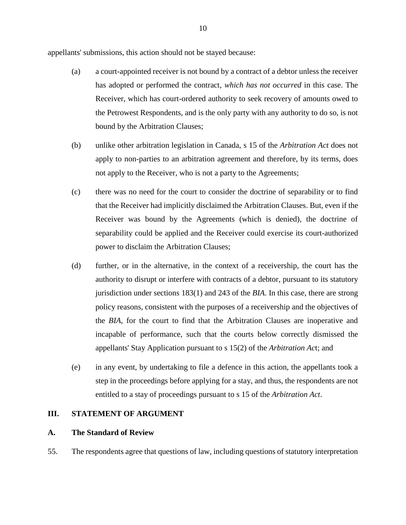appellants' submissions, this action should not be stayed because:

- (a) a court-appointed receiver is not bound by a contract of a debtor unless the receiver has adopted or performed the contract, *which has not occurred* in this case. The Receiver, which has court-ordered authority to seek recovery of amounts owed to the Petrowest Respondents, and is the only party with any authority to do so, is not bound by the Arbitration Clauses;
- (b) unlike other arbitration legislation in Canada, s 15 of the *Arbitration Act* does not apply to non-parties to an arbitration agreement and therefore, by its terms, does not apply to the Receiver, who is not a party to the Agreements;
- (c) there was no need for the court to consider the doctrine of separability or to find that the Receiver had implicitly disclaimed the Arbitration Clauses. But, even if the Receiver was bound by the Agreements (which is denied), the doctrine of separability could be applied and the Receiver could exercise its court-authorized power to disclaim the Arbitration Clauses;
- (d) further, or in the alternative, in the context of a receivership, the court has the authority to disrupt or interfere with contracts of a debtor, pursuant to its statutory jurisdiction under sections 183(1) and 243 of the *BIA*. In this case, there are strong policy reasons, consistent with the purposes of a receivership and the objectives of the *BIA*, for the court to find that the Arbitration Clauses are inoperative and incapable of performance, such that the courts below correctly dismissed the appellants' Stay Application pursuant to s 15(2) of the *Arbitration Ac*t; and
- (e) in any event, by undertaking to file a defence in this action, the appellants took a step in the proceedings before applying for a stay, and thus, the respondents are not entitled to a stay of proceedings pursuant to s 15 of the *Arbitration Act*.

### <span id="page-12-0"></span>**III. STATEMENT OF ARGUMENT**

#### <span id="page-12-1"></span>**A. The Standard of Review**

55. The respondents agree that questions of law, including questions of statutory interpretation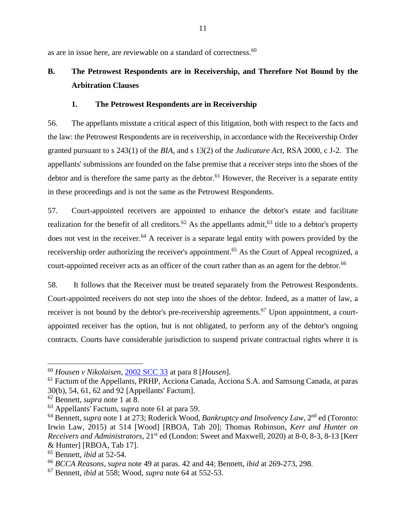as are in issue here, are reviewable on a standard of correctness.<sup>60</sup>

# <span id="page-13-0"></span>**B. The Petrowest Respondents are in Receivership, and Therefore Not Bound by the Arbitration Clauses**

## <span id="page-13-4"></span><span id="page-13-2"></span>**1. The Petrowest Respondents are in Receivership**

<span id="page-13-1"></span>56. The appellants misstate a critical aspect of this litigation, both with respect to the facts and the law: the Petrowest Respondents are in receivership, in accordance with the Receivership Order granted pursuant to s 243(1) of the *BIA*, and s 13(2) of the *Judicature Act*, RSA 2000, c J-2. The appellants' submissions are founded on the false premise that a receiver steps into the shoes of the debtor and is therefore the same party as the debtor.<sup>61</sup> However, the Receiver is a separate entity in these proceedings and is not the same as the Petrowest Respondents.

<span id="page-13-3"></span>57. Court-appointed receivers are appointed to enhance the debtor's estate and facilitate realization for the benefit of all creditors.<sup>62</sup> As the appellants admit,<sup>63</sup> title to a debtor's property does not vest in the receiver.<sup>64</sup> A receiver is a separate legal entity with powers provided by the receivership order authorizing the receiver's appointment.<sup>65</sup> As the Court of Appeal recognized, a court-appointed receiver acts as an officer of the court rather than as an agent for the debtor.<sup>66</sup>

58. It follows that the Receiver must be treated separately from the Petrowest Respondents. Court-appointed receivers do not step into the shoes of the debtor. Indeed, as a matter of law, a receiver is not bound by the debtor's pre-receivership agreements.<sup>67</sup> Upon appointment, a courtappointed receiver has the option, but is not obligated, to perform any of the debtor's ongoing contracts. Courts have considerable jurisdiction to suspend private contractual rights where it is

<sup>60</sup> *Housen v Nikolaisen*, [2002 SCC 33](https://canlii.ca/t/51tl#par8) at para 8 [*Housen*].

 $<sup>61</sup>$  Factum of the Appellants, PRHP, Acciona Canada, Acciona S.A. and Samsung Canada, at paras</sup> 30(b), 54, 61, 62 and 92 [Appellants' Factum].

<sup>62</sup> Bennett, *supra* note [1](#page-3-2) at 8.

<sup>63</sup> Appellants' Factum, *supra* note [61](#page-13-2) at para 59.

<sup>64</sup> Bennett, *supra* note [1](#page-3-2) at 273; Roderick Wood, *Bankruptcy and Insolvency Law*, 2nd ed (Toronto: Irwin Law, 2015) at 514 [Wood] [RBOA, Tab 20]; Thomas Robinson, *Kerr and Hunter on Receivers and Administrators*, 21st ed (London: Sweet and Maxwell, 2020) at 8-0, 8-3, 8-13 [Kerr & Hunter] [RBOA, Tab 17].

<sup>65</sup> Bennett, *ibid* at 52-54.

<sup>66</sup> *BCCA Reasons*, *supra* note [49](#page-11-1) at paras. 42 and 44; Bennett, *ibid* at 269-273, 298.

<sup>67</sup> Bennett, *ibid* at 558; Wood, *supra* note [64](#page-13-3) at 552-53.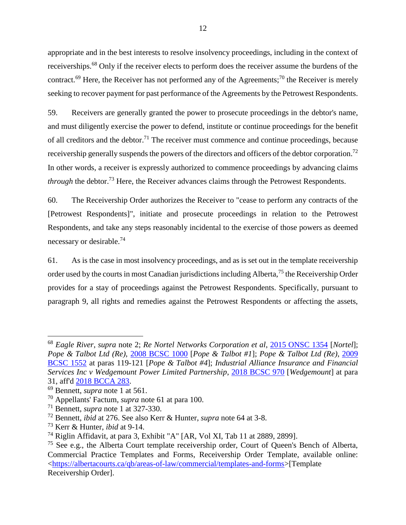<span id="page-14-0"></span>appropriate and in the best interests to resolve insolvency proceedings, including in the context of receiverships.<sup>68</sup> Only if the receiver elects to perform does the receiver assume the burdens of the contract.<sup>69</sup> Here, the Receiver has not performed any of the Agreements;<sup>70</sup> the Receiver is merely seeking to recover payment for past performance of the Agreements by the Petrowest Respondents.

59. Receivers are generally granted the power to prosecute proceedings in the debtor's name, and must diligently exercise the power to defend, institute or continue proceedings for the benefit of all creditors and the debtor.<sup>71</sup> The receiver must commence and continue proceedings, because receivership generally suspends the powers of the directors and officers of the debtor corporation.<sup>72</sup> In other words, a receiver is expressly authorized to commence proceedings by advancing claims *through* the debtor.<sup>73</sup> Here, the Receiver advances claims through the Petrowest Respondents.

60. The Receivership Order authorizes the Receiver to "cease to perform any contracts of the [Petrowest Respondents]", initiate and prosecute proceedings in relation to the Petrowest Respondents, and take any steps reasonably incidental to the exercise of those powers as deemed necessary or desirable.<sup>74</sup>

<span id="page-14-1"></span>61. As is the case in most insolvency proceedings, and as is set out in the template receivership order used by the courts in most Canadian jurisdictions including Alberta,<sup>75</sup> the Receivership Order provides for a stay of proceedings against the Petrowest Respondents. Specifically, pursuant to paragraph 9, all rights and remedies against the Petrowest Respondents or affecting the assets,

<sup>68</sup> *Eagle River*, *supra* note [2;](#page-3-3) *Re Nortel Networks Corporation et al*, [2015 ONSC 1354](https://canlii.ca/t/ggjqs) [*Nortel*]; *Pope & Talbot Ltd (Re)*, [2008 BCSC 1000](https://www.canlii.org/en/bc/bcsc/doc/2008/2008bcsc1000/2008bcsc1000.html) [*Pope & Talbot #1*]; *Pope & Talbot Ltd (Re)*, [2009](https://canlii.ca/t/26l6v#par119)  [BCSC 1552](https://canlii.ca/t/26l6v#par119) at paras 119-121 [*Pope & Talbot #4*]; *Industrial Alliance Insurance and Financial Services Inc v Wedgemount Power Limited Partnership*, [2018 BCSC 970](https://canlii.ca/t/hsldf#par31) [*Wedgemount*] at para 31, aff'd [2018 BCCA 283.](https://www.canlii.org/en/bc/bcca/doc/2018/2018bcca283/2018bcca283.html)

<sup>69</sup> Bennett, *supra* note [1](#page-3-2) at 561.

<sup>70</sup> Appellants' Factum, *supra* note [61](#page-13-2) at para 100.

<sup>71</sup> Bennett, *supra* note [1](#page-3-2) at 327-330.

<sup>72</sup> Bennett, *ibid* at 276. See also Kerr & Hunter, *supra* note [64](#page-13-3) at 3-8.

<sup>73</sup> Kerr & Hunter, *ibid* at 9-14.

<sup>74</sup> Riglin Affidavit, at para 3, Exhibit "A" [AR, Vol XI, Tab 11 at 2889, 2899].

 $75$  See e.g., the Alberta Court template receivership order, Court of Queen's Bench of Alberta, Commercial Practice Templates and Forms, Receivership Order Template, available online: [<https://albertacourts.ca/qb/areas-of-law/commercial/templates-and-forms>](https://albertacourts.ca/qb/areas-of-law/commercial/templates-and-forms)[Template Receivership Order].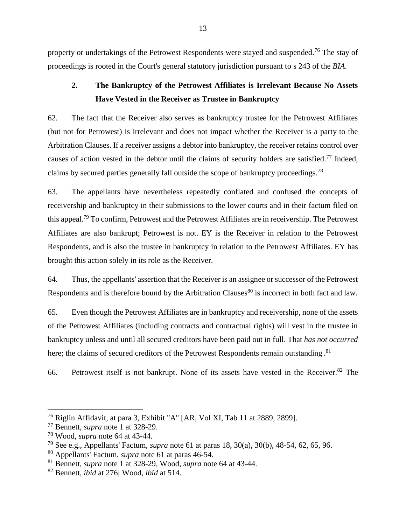property or undertakings of the Petrowest Respondents were stayed and suspended.<sup>76</sup> The stay of proceedings is rooted in the Court's general statutory jurisdiction pursuant to s 243 of the *BIA*.

## <span id="page-15-0"></span>**2. The Bankruptcy of the Petrowest Affiliates is Irrelevant Because No Assets Have Vested in the Receiver as Trustee in Bankruptcy**

62. The fact that the Receiver also serves as bankruptcy trustee for the Petrowest Affiliates (but not for Petrowest) is irrelevant and does not impact whether the Receiver is a party to the Arbitration Clauses. If a receiver assigns a debtor into bankruptcy, the receiver retains control over causes of action vested in the debtor until the claims of security holders are satisfied.<sup>77</sup> Indeed, claims by secured parties generally fall outside the scope of bankruptcy proceedings.<sup>78</sup>

63. The appellants have nevertheless repeatedly conflated and confused the concepts of receivership and bankruptcy in their submissions to the lower courts and in their factum filed on this appeal.<sup>79</sup> To confirm, Petrowest and the Petrowest Affiliates are in receivership. The Petrowest Affiliates are also bankrupt; Petrowest is not. EY is the Receiver in relation to the Petrowest Respondents, and is also the trustee in bankruptcy in relation to the Petrowest Affiliates. EY has brought this action solely in its role as the Receiver.

64. Thus, the appellants' assertion that the Receiver is an assignee or successor of the Petrowest Respondents and is therefore bound by the Arbitration Clauses<sup>80</sup> is incorrect in both fact and law.

65. Even though the Petrowest Affiliates are in bankruptcy and receivership, none of the assets of the Petrowest Affiliates (including contracts and contractual rights) will vest in the trustee in bankruptcy unless and until all secured creditors have been paid out in full. That *has not occurred* here; the claims of secured creditors of the Petrowest Respondents remain outstanding.<sup>81</sup>

66. Petrowest itself is not bankrupt. None of its assets have vested in the Receiver.<sup>82</sup> The

<sup>76</sup> Riglin Affidavit, at para 3, Exhibit "A" [AR, Vol XI, Tab 11 at 2889, 2899].

<sup>77</sup> Bennett, *supra* note [1](#page-3-2) at 328-29.

<sup>78</sup> Wood, *supra* note [64](#page-13-3) at 43-44.

<sup>79</sup> See e.g., Appellants' Factum, *supra* note [61](#page-13-2) at paras 18, 30(a), 30(b), 48-54, 62, 65, 96.

<sup>80</sup> Appellants' Factum, *supra* note [61](#page-13-2) at paras 46-54.

<sup>81</sup> Bennett, *supra* note [1](#page-3-2) at 328-29, Wood, *supra* note [64](#page-13-3) at 43-44.

<sup>82</sup> Bennett, *ibid* at 276; Wood, *ibid* at 514.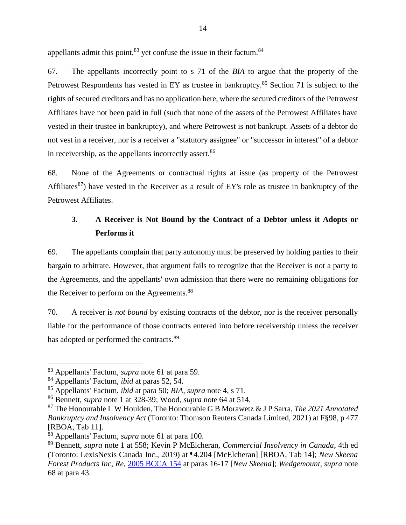appellants admit this point,  $83$  yet confuse the issue in their factum.  $84$ 

67. The appellants incorrectly point to s 71 of the *BIA* to argue that the property of the Petrowest Respondents has vested in EY as trustee in bankruptcy.<sup>85</sup> Section 71 is subject to the rights of secured creditors and has no application here, where the secured creditors of the Petrowest Affiliates have not been paid in full (such that none of the assets of the Petrowest Affiliates have vested in their trustee in bankruptcy), and where Petrowest is not bankrupt. Assets of a debtor do not vest in a receiver, nor is a receiver a "statutory assignee" or "successor in interest" of a debtor in receivership, as the appellants incorrectly assert.<sup>86</sup>

68. None of the Agreements or contractual rights at issue (as property of the Petrowest Affiliates<sup>87</sup>) have vested in the Receiver as a result of EY's role as trustee in bankruptcy of the Petrowest Affiliates.

## <span id="page-16-0"></span>**3. A Receiver is Not Bound by the Contract of a Debtor unless it Adopts or Performs it**

69. The appellants complain that party autonomy must be preserved by holding parties to their bargain to arbitrate. However, that argument fails to recognize that the Receiver is not a party to the Agreements, and the appellants' own admission that there were no remaining obligations for the Receiver to perform on the Agreements.<sup>88</sup>

<span id="page-16-1"></span>70. A receiver is *not bound* by existing contracts of the debtor, nor is the receiver personally liable for the performance of those contracts entered into before receivership unless the receiver has adopted or performed the contracts.<sup>89</sup>

<sup>83</sup> Appellants' Factum, *supra* note [61](#page-13-2) at para 59.

<sup>84</sup> Appellants' Factum, *ibid* at paras 52, 54.

<sup>85</sup> Appellants' Factum, *ibid* at para 50; *BIA, supra* note [4,](#page-4-3) s 71.

<sup>86</sup> Bennett, *supra* note [1](#page-3-2) at 328-39; Wood, *supra* note [64](#page-13-3) at 514*.*

<sup>87</sup> The Honourable L W Houlden, The Honourable G B Morawetz & J P Sarra, *The 2021 Annotated Bankruptcy and Insolvency Act* (Toronto: Thomson Reuters Canada Limited, 2021) at F§98, p 477 [RBOA, Tab 11].

<sup>88</sup> Appellants' Factum, *supra* note [61](#page-13-2) at para 100.

<sup>89</sup> Bennett, *supra* note [1](#page-3-2) at 558; Kevin P McElcheran, *Commercial Insolvency in Canada*, 4th ed (Toronto: LexisNexis Canada Inc., 2019) at ¶4.204 [McElcheran] [RBOA, Tab 14]; *New Skeena Forest Products Inc, Re*, [2005 BCCA 154](https://canlii.ca/t/1jzg2#par16) at paras 16-17 [*New Skeena*]; *Wedgemount*, *supra* note [68](#page-14-0) at para 43.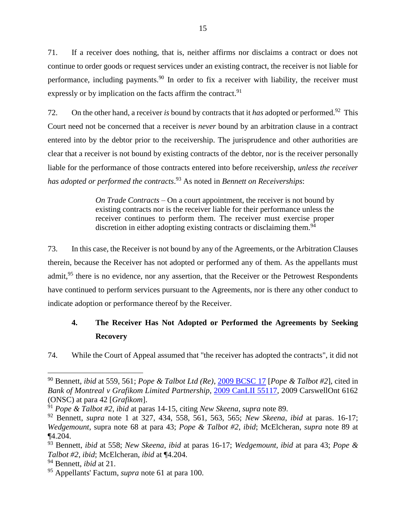<span id="page-17-1"></span>71. If a receiver does nothing, that is, neither affirms nor disclaims a contract or does not continue to order goods or request services under an existing contract, the receiver is not liable for performance, including payments.<sup>90</sup> In order to fix a receiver with liability, the receiver must expressly or by implication on the facts affirm the contract.<sup>91</sup>

72. On the other hand, a receiver *is* bound by contracts that it *has* adopted or performed.<sup>92</sup> This Court need not be concerned that a receiver is *never* bound by an arbitration clause in a contract entered into by the debtor prior to the receivership. The jurisprudence and other authorities are clear that a receiver is not bound by existing contracts of the debtor, nor is the receiver personally liable for the performance of those contracts entered into before receivership, *unless the receiver has adopted or performed the contracts*. <sup>93</sup> As noted in *Bennett on Receiverships*:

> *On Trade Contracts* – On a court appointment, the receiver is not bound by existing contracts nor is the receiver liable for their performance unless the receiver continues to perform them. The receiver must exercise proper discretion in either adopting existing contracts or disclaiming them.<sup>94</sup>

73. In this case, the Receiver is not bound by any of the Agreements, or the Arbitration Clauses therein, because the Receiver has not adopted or performed any of them. As the appellants must admit,<sup>95</sup> there is no evidence, nor any assertion, that the Receiver or the Petrowest Respondents have continued to perform services pursuant to the Agreements, nor is there any other conduct to indicate adoption or performance thereof by the Receiver.

## <span id="page-17-0"></span>**4. The Receiver Has Not Adopted or Performed the Agreements by Seeking Recovery**

74. While the Court of Appeal assumed that "the receiver has adopted the contracts", it did not

<sup>90</sup> Bennett, *ibid* at 559, 561; *Pope & Talbot Ltd (Re)*, [2009 BCSC 17](https://canlii.ca/t/22746) [*Pope & Talbot #2*], cited in *Bank of Montreal v Grafikom Limited Partnership*, [2009 CanLII 55117,](https://canlii.ca/t/26466) 2009 CarswellOnt 6162 (ONSC) at para 42 [*Grafikom*].

<sup>91</sup> *Pope & Talbot #2*, *ibid* at paras 14-15, citing *New Skeena*, *supra* note [89.](#page-16-1)

<sup>92</sup> Bennett, *supra* note [1](#page-3-2) at 327, 434, 558, 561, 563, 565; *New Skeena*, *ibid* at paras. 16-17; *Wedgemount*, supra note [68](#page-14-0) at para 43; *Pope & Talbot #2*, *ibid*; McElcheran, *supra* note [89](#page-16-1) at ¶4.204.

<sup>93</sup> Bennett, *ibid* at 558; *New Skeena*, *ibid* at paras 16-17; *Wedgemount*, *ibid* at para 43; *Pope & Talbot #2*, *ibid*; McElcheran, *ibid* at ¶4.204.

<sup>94</sup> Bennett, *ibid* at 21.

<sup>95</sup> Appellants' Factum, *supra* note [61](#page-13-2) at para 100.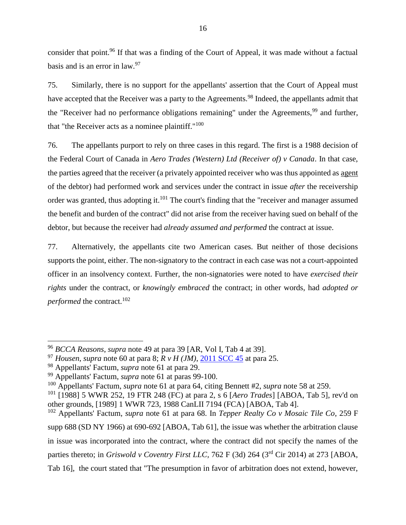consider that point.<sup>96</sup> If that was a finding of the Court of Appeal, it was made without a factual basis and is an error in law.<sup>97</sup>

75. Similarly, there is no support for the appellants' assertion that the Court of Appeal must have accepted that the Receiver was a party to the Agreements.<sup>98</sup> Indeed, the appellants admit that the "Receiver had no performance obligations remaining" under the Agreements,  $99$  and further, that "the Receiver acts as a nominee plaintiff."<sup>100</sup>

76. The appellants purport to rely on three cases in this regard. The first is a 1988 decision of the Federal Court of Canada in *Aero Trades (Western) Ltd (Receiver of) v Canada*. In that case, the parties agreed that the receiver (a privately appointed receiver who was thus appointed as agent of the debtor) had performed work and services under the contract in issue *after* the receivership order was granted, thus adopting it.<sup>101</sup> The court's finding that the "receiver and manager assumed the benefit and burden of the contract" did not arise from the receiver having sued on behalf of the debtor, but because the receiver had *already assumed and performed* the contract at issue.

77. Alternatively, the appellants cite two American cases. But neither of those decisions supports the point, either. The non-signatory to the contract in each case was not a court-appointed officer in an insolvency context. Further, the non-signatories were noted to have *exercised their rights* under the contract, or *knowingly embraced* the contract; in other words, had *adopted or performed* the contract.<sup>102</sup>

<sup>96</sup> *BCCA Reasons*, *supra* note [49](#page-11-1) at para 39 [AR, Vol I, Tab 4 at 39].

<sup>97</sup> *Housen*, *supra* note [60](#page-13-4) at para 8; *R v H (JM)*, [2011 SCC 45](https://canlii.ca/t/fnbb2#par25) at para 25.

<sup>98</sup> Appellants' Factum, *supra* note [61](#page-13-2) at para 29.

<sup>99</sup> Appellants' Factum, *supra* note [61](#page-13-2) at paras 99-100.

<sup>100</sup> Appellants' Factum, *supra* note [61](#page-13-2) at para 64, citing Bennett #2, *supra* note [58](#page-11-2) at 259.

<sup>101</sup> [1988] 5 WWR 252, 19 FTR 248 (FC) at para 2, s 6 [*Aero Trades*] [ABOA, Tab 5], rev'd on other grounds, [1989] 1 WWR 723, 1988 CanLII 7194 (FCA) [ABOA, Tab 4].

<sup>102</sup> Appellants' Factum, *supra* note [61](#page-13-2) at para 68. In *Tepper Realty Co v Mosaic Tile Co*, 259 F supp 688 (SD NY 1966) at 690-692 [ABOA, Tab 61], the issue was whether the arbitration clause in issue was incorporated into the contract, where the contract did not specify the names of the parties thereto; in *Griswold v Coventry First LLC*, 762 F (3d) 264 (3<sup>rd</sup> Cir 2014) at 273 [ABOA, Tab 16], the court stated that "The presumption in favor of arbitration does not extend, however,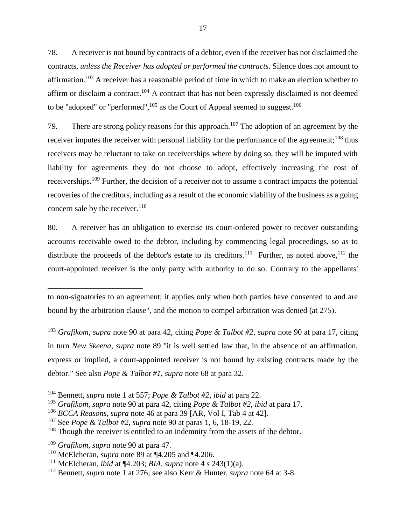<span id="page-19-0"></span>78. A receiver is not bound by contracts of a debtor, even if the receiver has not disclaimed the contracts, *unless the Receiver has adopted or performed the contracts*. Silence does not amount to affirmation.<sup>103</sup> A receiver has a reasonable period of time in which to make an election whether to affirm or disclaim a contract.<sup>104</sup> A contract that has not been expressly disclaimed is not deemed to be "adopted" or "performed", $^{105}$  as the Court of Appeal seemed to suggest.<sup>106</sup>

79. There are strong policy reasons for this approach.<sup>107</sup> The adoption of an agreement by the receiver imputes the receiver with personal liability for the performance of the agreement;<sup>108</sup> thus receivers may be reluctant to take on receiverships where by doing so, they will be imputed with liability for agreements they do not choose to adopt, effectively increasing the cost of receiverships.<sup>109</sup> Further, the decision of a receiver not to assume a contract impacts the potential recoveries of the creditors, including as a result of the economic viability of the business as a going concern sale by the receiver.<sup>110</sup>

80. A receiver has an obligation to exercise its court-ordered power to recover outstanding accounts receivable owed to the debtor, including by commencing legal proceedings, so as to distribute the proceeds of the debtor's estate to its creditors.<sup>111</sup> Further, as noted above, <sup>112</sup> the court-appointed receiver is the only party with authority to do so. Contrary to the appellants'

<sup>109</sup> *Grafikom, supra* note [90](#page-17-1) at para 47.

to non-signatories to an agreement; it applies only when both parties have consented to and are bound by the arbitration clause", and the motion to compel arbitration was denied (at 275).

<sup>103</sup> *Grafikom*, *supra* note [90](#page-17-1) at para 42, citing *Pope & Talbot #2*, *supra* note [90](#page-17-1) at para 17, citing in turn *New Skeena*, *supra* note [89](#page-16-1) "it is well settled law that, in the absence of an affirmation, express or implied, a court-appointed receiver is not bound by existing contracts made by the debtor." See also *Pope & Talbot #1*, *supra* note [68](#page-14-0) at para 32.

<sup>104</sup> Bennett, *supra* note [1](#page-3-2) at 557; *Pope & Talbot #2*, *ibid* at para 22.

<sup>105</sup> *Grafikom, supra* note [90](#page-17-1) at para 42, citing *Pope & Talbot #2, ibid* at para 17.

<sup>106</sup> *BCCA Reasons*, *supra* note 46 at para 39 [AR, Vol I, Tab 4 at 42].

<sup>107</sup> See *Pope & Talbot #2*, *supra* note [90](#page-17-1) at paras 1, 6, 18-19, 22.

<sup>&</sup>lt;sup>108</sup> Though the receiver is entitled to an indemnity from the assets of the debtor.

<sup>110</sup> McElcheran, *supra* note [89](#page-16-1) at ¶4.205 and ¶4.206.

<sup>111</sup> McElcheran, *ibid* at ¶4.203; *BIA*, *supra* note [4](#page-4-3) s 243(1)(a).

<sup>112</sup> Bennett, *supra* note [1](#page-3-2) at 276; see also Kerr & Hunter, *supra* note [64](#page-13-3) at 3-8.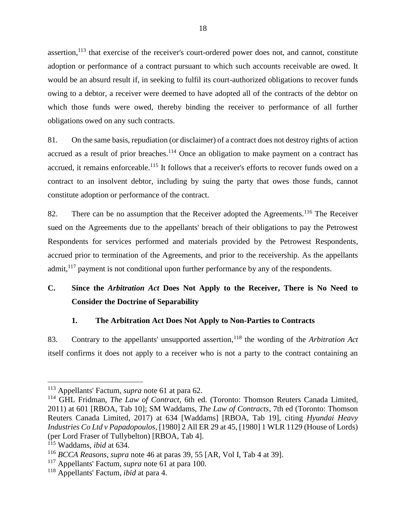assertion,<sup>113</sup> that exercise of the receiver's court-ordered power does not, and cannot, constitute adoption or performance of a contract pursuant to which such accounts receivable are owed. It would be an absurd result if, in seeking to fulfil its court-authorized obligations to recover funds owing to a debtor, a receiver were deemed to have adopted all of the contracts of the debtor on which those funds were owed, thereby binding the receiver to performance of all further obligations owed on any such contracts.

81. On the same basis, repudiation (or disclaimer) of a contract does not destroy rights of action accrued as a result of prior breaches.<sup>114</sup> Once an obligation to make payment on a contract has accrued, it remains enforceable.<sup>115</sup> It follows that a receiver's efforts to recover funds owed on a contract to an insolvent debtor, including by suing the party that owes those funds, cannot constitute adoption or performance of the contract.

<span id="page-20-3"></span>82. There can be no assumption that the Receiver adopted the Agreements.<sup>116</sup> The Receiver sued on the Agreements due to the appellants' breach of their obligations to pay the Petrowest Respondents for services performed and materials provided by the Petrowest Respondents, accrued prior to termination of the Agreements, and prior to the receivership. As the appellants admit, $117$  payment is not conditional upon further performance by any of the respondents.

## <span id="page-20-0"></span>**C. Since the** *Arbitration Act* **Does Not Apply to the Receiver, There is No Need to Consider the Doctrine of Separability**

## **1. The Arbitration Act Does Not Apply to Non-Parties to Contracts**

<span id="page-20-2"></span><span id="page-20-1"></span>83. Contrary to the appellants' unsupported assertion,<sup>118</sup> the wording of the *Arbitration Act* itself confirms it does not apply to a receiver who is not a party to the contract containing an

<sup>113</sup> Appellants' Factum, *supra* note [61](#page-13-2) at para 62.

<sup>114</sup> GHL Fridman, *The Law of Contract*, 6th ed. (Toronto: Thomson Reuters Canada Limited, 2011) at 601 [RBOA, Tab 10]; SM Waddams, *The Law of Contracts*, 7th ed (Toronto: Thomson Reuters Canada Limited, 2017) at 634 [Waddams] [RBOA, Tab 19], citing *Hyundai Heavy Industries Co Ltd v Papadopoulos*, [1980] 2 All ER 29 at 45, [1980] 1 WLR 1129 (House of Lords) (per Lord Fraser of Tullybelton) [RBOA, Tab 4].

<sup>115</sup> Waddams, *ibid* at 634.

<sup>116</sup> *BCCA Reasons*, *supra* note 46 at paras 39, 55 [AR, Vol I, Tab 4 at 39].

<sup>117</sup> Appellants' Factum, *supra* note [61](#page-13-2) at para 100.

<sup>118</sup> Appellants' Factum, *ibid* at para 4.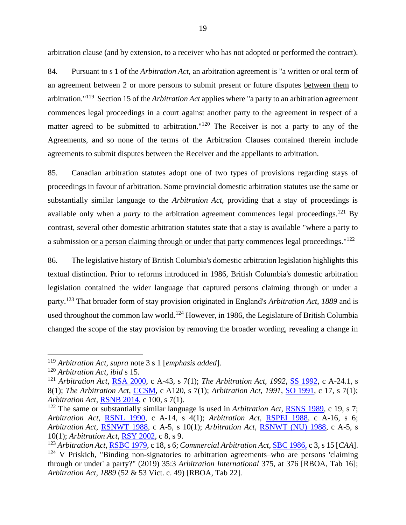arbitration clause (and by extension, to a receiver who has not adopted or performed the contract).

84. Pursuant to s 1 of the *Arbitration Act*, an arbitration agreement is "a written or oral term of an agreement between 2 or more persons to submit present or future disputes between them to arbitration."<sup>119</sup> Section 15 of the *Arbitration Act* applies where "a party to an arbitration agreement commences legal proceedings in a court against another party to the agreement in respect of a matter agreed to be submitted to arbitration."<sup>120</sup> The Receiver is not a party to any of the Agreements, and so none of the terms of the Arbitration Clauses contained therein include agreements to submit disputes between the Receiver and the appellants to arbitration.

85. Canadian arbitration statutes adopt one of two types of provisions regarding stays of proceedings in favour of arbitration. Some provincial domestic arbitration statutes use the same or substantially similar language to the *Arbitration Act*, providing that a stay of proceedings is available only when a *party* to the arbitration agreement commences legal proceedings.<sup>121</sup> By contrast, several other domestic arbitration statutes state that a stay is available "where a party to a submission <u>or a person claiming through or under that party</u> commences legal proceedings."<sup>122</sup>

86. The legislative history of British Columbia's domestic arbitration legislation highlights this textual distinction. Prior to reforms introduced in 1986, British Columbia's domestic arbitration legislation contained the wider language that captured persons claiming through or under a party.<sup>123</sup> That broader form of stay provision originated in England's *Arbitration Act, 1889* and is used throughout the common law world.<sup>124</sup> However, in 1986, the Legislature of British Columbia changed the scope of the stay provision by removing the broader wording, revealing a change in

<sup>119</sup> *Arbitration Act*, *supra* note [3](#page-3-4) s 1 [*emphasis added*].

<sup>120</sup> *Arbitration Act*, *ibid* s 15.

<sup>121</sup> *Arbitration Act*, [RSA 2000,](https://www.qp.alberta.ca/1266.cfm?page=A43.cfm&leg_type=Acts&isbncln=9780779783823&display=html) c A-43, s 7(1); *The Arbitration Act, 1992*, [SS 1992,](https://publications.saskatchewan.ca/api/v1/products/378/formats/397/download) c A-24.1, s 8(1); *The Arbitration Act*, [CCSM,](https://web2.gov.mb.ca/laws/statutes/ccsm/a120e.php#7(1)) c A120, s 7(1); *Arbitration Act, 1991*, [SO 1991,](https://www.ontario.ca/laws/statute/91a17#s7s1) c 17, s 7(1); *Arbitration Act*, [RSNB 2014,](http://laws.gnb.ca/en/showfulldoc/cs/2014-c.100/20211103/#codesse:7) c 100, s 7(1).

<sup>122</sup> The same or substantially similar language is used in *Arbitration Act*, [RSNS 1989,](https://nslegislature.ca/sites/default/files/legc/statutes/arbitrat.htm) c 19, s 7; *Arbitration Act*, [RSNL 1990,](https://www.assembly.nl.ca/Legislation/sr/statutes/a14.htm#4) c A-14, s 4(1); *Arbitration Act*, [RSPEI 1988,](https://www.princeedwardisland.ca/sites/default/files/legislation/A-16-Arbitration%20Act.pdf) c A-16, s 6; *Arbitration Act*, [RSNWT 1988,](https://www.justice.gov.nt.ca/en/files/legislation/arbitration/arbitration.a.pdf) c A-5, s 10(1); *Arbitration Act*, [RSNWT \(NU\) 1988,](https://www.nunavutlegislation.ca/en/file-download/download/public/649) c A-5, s 10(1); *Arbitration Act*, [RSY 2002,](https://canlii.ca/t/52rz1) c 8, s 9.

<sup>123</sup> *Arbitration Act*[, RSBC 1979,](https://www.bclaws.gov.bc.ca/civix/document/id/hstats/hstats/1106995113) c 18, s 6; *Commercial Arbitration Act*, [SBC 1986,](https://www.bclaws.gov.bc.ca/civix/document/id/hstats/hstats/55401666) c 3, s 15 [*CAA*].  $124$  V Priskich, "Binding non-signatories to arbitration agreements–who are persons 'claiming through or under' a party?" (2019) 35:3 *Arbitration International* 375, at 376 [RBOA, Tab 16]; *Arbitration Act, 1889* (52 & 53 Vict. c. 49) [RBOA, Tab 22].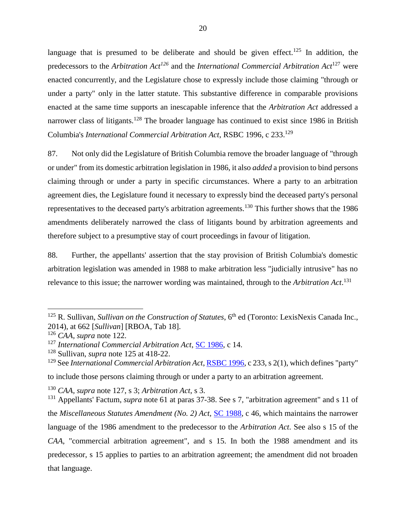<span id="page-22-1"></span><span id="page-22-0"></span>language that is presumed to be deliberate and should be given effect.<sup>125</sup> In addition, the predecessors to the *Arbitration Act<sup>126</sup>* and the *International Commercial Arbitration Act*<sup>127</sup> were enacted concurrently, and the Legislature chose to expressly include those claiming "through or under a party" only in the latter statute. This substantive difference in comparable provisions enacted at the same time supports an inescapable inference that the *Arbitration Act* addressed a narrower class of litigants.<sup>128</sup> The broader language has continued to exist since 1986 in British Columbia's *International Commercial Arbitration Act*, RSBC 1996, c 233. 129

87. Not only did the Legislature of British Columbia remove the broader language of "through or under" from its domestic arbitration legislation in 1986, it also *added* a provision to bind persons claiming through or under a party in specific circumstances. Where a party to an arbitration agreement dies, the Legislature found it necessary to expressly bind the deceased party's personal representatives to the deceased party's arbitration agreements.<sup>130</sup> This further shows that the 1986 amendments deliberately narrowed the class of litigants bound by arbitration agreements and therefore subject to a presumptive stay of court proceedings in favour of litigation.

88. Further, the appellants' assertion that the stay provision of British Columbia's domestic arbitration legislation was amended in 1988 to make arbitration less "judicially intrusive" has no relevance to this issue; the narrower wording was maintained, through to the *Arbitration Act*. 131

<sup>&</sup>lt;sup>125</sup> R. Sullivan, *Sullivan on the Construction of Statutes*, 6<sup>th</sup> ed (Toronto: LexisNexis Canada Inc., 2014), at 662 [*Sullivan*] [RBOA, Tab 18].

<sup>126</sup> *CAA, supra* note 122.

<sup>127</sup> *International Commercial Arbitration Act*[, SC 1986,](https://www.bclaws.gov.bc.ca/civix/document/id/hstats/hstats/271917180) c 14.

<sup>128</sup> Sullivan, *supra* note [125](#page-22-0) at 418-22.

<sup>129</sup> See *International Commercial Arbitration Act*, [RSBC 1996,](https://www.bclaws.gov.bc.ca/civix/document/id/complete/statreg/96233_01#section2) c 233, s 2(1), which defines "party" to include those persons claiming through or under a party to an arbitration agreement.

<sup>130</sup> *CAA, supra* note [127,](#page-22-1) s 3; *Arbitration Act*, s 3.

<sup>131</sup> Appellants' Factum, *supra* note [61](#page-13-2) at paras 37-38. See s 7, "arbitration agreement" and s 11 of the *Miscellaneous Statutes Amendment (No. 2) Act,* [SC 1988,](https://www.bclaws.gov.bc.ca/civix/document/id/hstats/hstats/758335593) c 46, which maintains the narrower language of the 1986 amendment to the predecessor to the *Arbitration Act*. See also s 15 of the *CAA*, "commercial arbitration agreement", and s 15. In both the 1988 amendment and its predecessor, s 15 applies to parties to an arbitration agreement; the amendment did not broaden that language.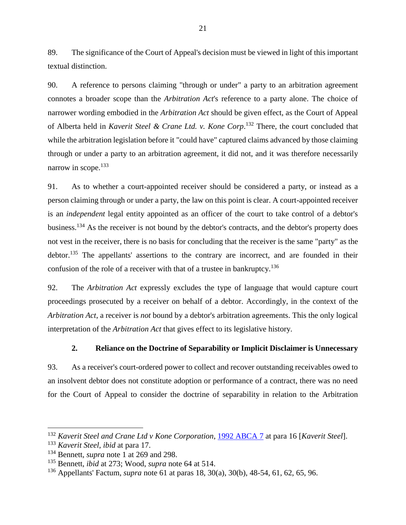89. The significance of the Court of Appeal's decision must be viewed in light of this important textual distinction.

90. A reference to persons claiming "through or under" a party to an arbitration agreement connotes a broader scope than the *Arbitration Act*'s reference to a party alone. The choice of narrower wording embodied in the *Arbitration Act* should be given effect, as the Court of Appeal of Alberta held in *Kaverit Steel & Crane Ltd. v. Kone Corp*. <sup>132</sup> There, the court concluded that while the arbitration legislation before it "could have" captured claims advanced by those claiming through or under a party to an arbitration agreement, it did not, and it was therefore necessarily narrow in scope.<sup>133</sup>

91. As to whether a court-appointed receiver should be considered a party, or instead as a person claiming through or under a party, the law on this point is clear. A court-appointed receiver is an *independent* legal entity appointed as an officer of the court to take control of a debtor's business.<sup>134</sup> As the receiver is not bound by the debtor's contracts, and the debtor's property does not vest in the receiver, there is no basis for concluding that the receiver is the same "party" as the debtor.<sup>135</sup> The appellants' assertions to the contrary are incorrect, and are founded in their confusion of the role of a receiver with that of a trustee in bankruptcy.<sup>136</sup>

<span id="page-23-1"></span>92. The *Arbitration Act* expressly excludes the type of language that would capture court proceedings prosecuted by a receiver on behalf of a debtor. Accordingly, in the context of the *Arbitration Act*, a receiver is *not* bound by a debtor's arbitration agreements. This the only logical interpretation of the *Arbitration Act* that gives effect to its legislative history.

## **2. Reliance on the Doctrine of Separability or Implicit Disclaimer is Unnecessary**

<span id="page-23-0"></span>93. As a receiver's court-ordered power to collect and recover outstanding receivables owed to an insolvent debtor does not constitute adoption or performance of a contract, there was no need for the Court of Appeal to consider the doctrine of separability in relation to the Arbitration

<sup>132</sup> *Kaverit Steel and Crane Ltd v Kone Corporation*, [1992 ABCA 7](https://canlii.ca/t/1p6kc#par16) at para 16 [*Kaverit Steel*].

<sup>133</sup> *Kaverit Steel*, *ibid* at para 17.

<sup>134</sup> Bennett, *supra* note [1](#page-3-2) at 269 and 298.

<sup>135</sup> Bennett, *ibid* at 273; Wood, *supra* note [64](#page-13-3) at 514.

<sup>136</sup> Appellants' Factum, *supra* note [61](#page-13-2) at paras 18, 30(a), 30(b), 48-54, 61, 62, 65, 96.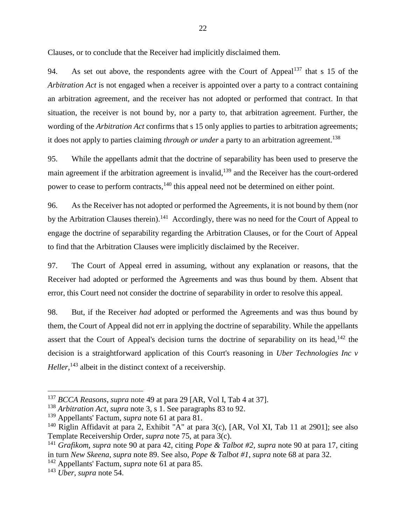Clauses, or to conclude that the Receiver had implicitly disclaimed them.

94. As set out above, the respondents agree with the Court of Appeal<sup>137</sup> that s 15 of the *Arbitration Act* is not engaged when a receiver is appointed over a party to a contract containing an arbitration agreement, and the receiver has not adopted or performed that contract. In that situation, the receiver is not bound by, nor a party to, that arbitration agreement. Further, the wording of the *Arbitration Act* confirms that s 15 only applies to parties to arbitration agreements; it does not apply to parties claiming *through or under* a party to an arbitration agreement.<sup>138</sup>

95. While the appellants admit that the doctrine of separability has been used to preserve the main agreement if the arbitration agreement is invalid,<sup>139</sup> and the Receiver has the court-ordered power to cease to perform contracts,<sup>140</sup> this appeal need not be determined on either point.

96. As the Receiver has not adopted or performed the Agreements, it is not bound by them (nor by the Arbitration Clauses therein).<sup>141</sup> Accordingly, there was no need for the Court of Appeal to engage the doctrine of separability regarding the Arbitration Clauses, or for the Court of Appeal to find that the Arbitration Clauses were implicitly disclaimed by the Receiver.

97. The Court of Appeal erred in assuming, without any explanation or reasons, that the Receiver had adopted or performed the Agreements and was thus bound by them. Absent that error, this Court need not consider the doctrine of separability in order to resolve this appeal.

98. But, if the Receiver *had* adopted or performed the Agreements and was thus bound by them, the Court of Appeal did not err in applying the doctrine of separability. While the appellants assert that the Court of Appeal's decision turns the doctrine of separability on its head,<sup>142</sup> the decision is a straightforward application of this Court's reasoning in *Uber Technologies Inc v Heller*,<sup>143</sup> albeit in the distinct context of a receivership.

<sup>137</sup> *BCCA Reasons*, *supra* note [49](#page-11-1) at para 29 [AR, Vol I, Tab 4 at 37].

<sup>138</sup> *Arbitration Act*, *supra* note [3,](#page-3-4) s 1. See paragraphs [83](#page-20-2) to [92.](#page-23-1)

<sup>139</sup> Appellants' Factum, *supra* note [61](#page-13-2) at para 81.

<sup>&</sup>lt;sup>140</sup> Riglin Affidavit at para 2, Exhibit "A" at para 3(c), [AR, Vol XI, Tab 11 at 2901]; see also Template Receivership Order, *supra* note [75,](#page-14-1) at para 3(c).

<sup>141</sup> *Grafikom*, *supra* note [90](#page-17-1) at para 42, citing *Pope & Talbot #2*, *supra* note [90](#page-17-1) at para 17, citing in turn *New Skeena*, *supra* note [89.](#page-16-1) See also, *Pope & Talbot #1*, *supra* note [68](#page-14-0) at para 32.

<sup>142</sup> Appellants' Factum, *supra* note [61](#page-13-2) at para 85.

<sup>143</sup> *Uber*, *supra* note [54.](#page-11-3)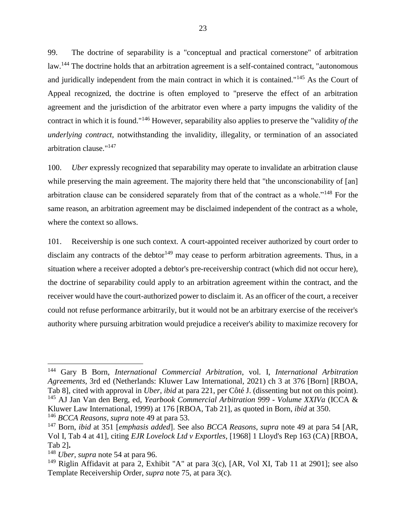99. The doctrine of separability is a "conceptual and practical cornerstone" of arbitration law.<sup>144</sup> The doctrine holds that an arbitration agreement is a self-contained contract, "autonomous and juridically independent from the main contract in which it is contained."<sup>145</sup> As the Court of Appeal recognized, the doctrine is often employed to "preserve the effect of an arbitration agreement and the jurisdiction of the arbitrator even where a party impugns the validity of the contract in which it is found."<sup>146</sup> However, separability also applies to preserve the "validity *of the underlying contract*, notwithstanding the invalidity, illegality, or termination of an associated arbitration clause."<sup>147</sup>

100. *Uber* expressly recognized that separability may operate to invalidate an arbitration clause while preserving the main agreement. The majority there held that "the unconscionability of [an] arbitration clause can be considered separately from that of the contract as a whole."<sup>148</sup> For the same reason, an arbitration agreement may be disclaimed independent of the contract as a whole, where the context so allows.

101. Receivership is one such context. A court-appointed receiver authorized by court order to disclaim any contracts of the debtor<sup>149</sup> may cease to perform arbitration agreements. Thus, in a situation where a receiver adopted a debtor's pre-receivership contract (which did not occur here), the doctrine of separability could apply to an arbitration agreement within the contract, and the receiver would have the court-authorized power to disclaim it. As an officer of the court, a receiver could not refuse performance arbitrarily, but it would not be an arbitrary exercise of the receiver's authority where pursuing arbitration would prejudice a receiver's ability to maximize recovery for

<sup>146</sup> *BCCA Reasons*, *supra* note [49](#page-11-1) at para 53.

<sup>144</sup> Gary B Born, *International Commercial Arbitration*, vol. I, *International Arbitration Agreements*, 3rd ed (Netherlands: Kluwer Law International, 2021) ch 3 at 376 [Born] [RBOA, Tab 8], cited with approval in *Uber*, *ibid* at para 221, per Côté J. (dissenting but not on this point). <sup>145</sup> AJ Jan Van den Berg, ed, *Yearbook Commercial Arbitration 999 - Volume XXIVa* (ICCA & Kluwer Law International, 1999) at 176 [RBOA, Tab 21], as quoted in Born, *ibid* at 350.

<sup>147</sup> Born, *ibid* at 351 [*emphasis added*]. See also *BCCA Reasons*, *supra* note [49](#page-11-1) at para 54 [AR, Vol I, Tab 4 at 41], citing *EJR Lovelock Ltd v Exportles*, [1968] 1 Lloyd's Rep 163 (CA) [RBOA, Tab 2]**.**

<sup>148</sup> *Uber, supra* note [54](#page-11-3) at para 96.

<sup>&</sup>lt;sup>149</sup> Riglin Affidavit at para 2, Exhibit "A" at para  $3(c)$ , [AR, Vol XI, Tab 11 at 2901]; see also Template Receivership Order, *supra* note [75,](#page-14-1) at para 3(c).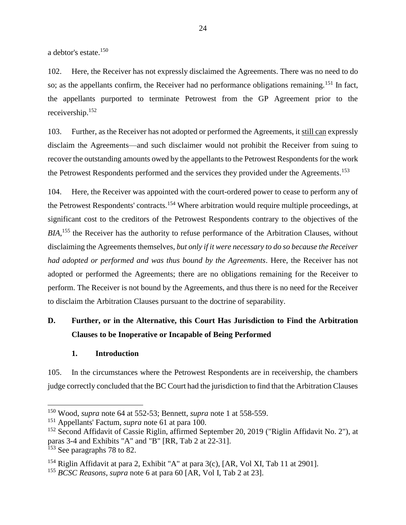a debtor's estate.<sup>150</sup>

102. Here, the Receiver has not expressly disclaimed the Agreements. There was no need to do so; as the appellants confirm, the Receiver had no performance obligations remaining.<sup>151</sup> In fact, the appellants purported to terminate Petrowest from the GP Agreement prior to the receivership.<sup>152</sup>

103. Further, as the Receiver has not adopted or performed the Agreements, it still can expressly disclaim the Agreements—and such disclaimer would not prohibit the Receiver from suing to recover the outstanding amounts owed by the appellants to the Petrowest Respondents for the work the Petrowest Respondents performed and the services they provided under the Agreements.<sup>153</sup>

104. Here, the Receiver was appointed with the court-ordered power to cease to perform any of the Petrowest Respondents' contracts.<sup>154</sup> Where arbitration would require multiple proceedings, at significant cost to the creditors of the Petrowest Respondents contrary to the objectives of the *BIA*,<sup>155</sup> the Receiver has the authority to refuse performance of the Arbitration Clauses, without disclaiming the Agreements themselves, *but only if it were necessary to do so because the Receiver had adopted or performed and was thus bound by the Agreements*. Here, the Receiver has not adopted or performed the Agreements; there are no obligations remaining for the Receiver to perform. The Receiver is not bound by the Agreements, and thus there is no need for the Receiver to disclaim the Arbitration Clauses pursuant to the doctrine of separability.

## <span id="page-26-0"></span>**D. Further, or in the Alternative, this Court Has Jurisdiction to Find the Arbitration Clauses to be Inoperative or Incapable of Being Performed**

### **1. Introduction**

<span id="page-26-1"></span>105. In the circumstances where the Petrowest Respondents are in receivership, the chambers judge correctly concluded that the BC Court had the jurisdiction to find that the Arbitration Clauses

<sup>150</sup> Wood, *supra* note [64](#page-13-3) at 552-53; Bennett, *supra* note [1](#page-3-2) at 558-559.

<sup>151</sup> Appellants' Factum, *supra* note [61](#page-13-2) at para 100.

<sup>&</sup>lt;sup>152</sup> Second Affidavit of Cassie Riglin, affirmed September 20, 2019 ("Riglin Affidavit No. 2"), at paras 3-4 and Exhibits "A" and "B" [RR, Tab 2 at 22-31].

<sup>&</sup>lt;sup>153</sup> See paragraphs [78](#page-19-0) to [82.](#page-20-3)

<sup>&</sup>lt;sup>154</sup> Riglin Affidavit at para 2, Exhibit "A" at para  $3(c)$ , [AR, Vol XI, Tab 11 at 2901].

<sup>155</sup> *BCSC Reasons*, *supra* note [6](#page-4-2) at para 60 [AR, Vol I, Tab 2 at 23].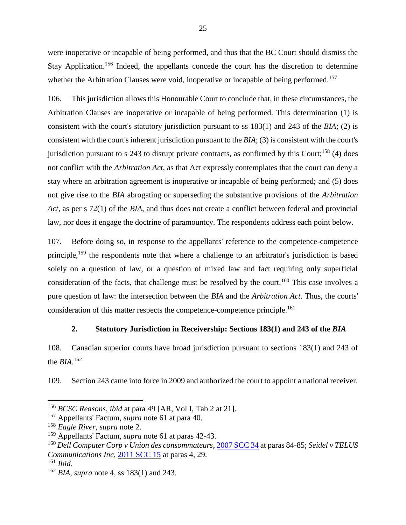were inoperative or incapable of being performed, and thus that the BC Court should dismiss the Stay Application.<sup>156</sup> Indeed, the appellants concede the court has the discretion to determine whether the Arbitration Clauses were void, inoperative or incapable of being performed.<sup>157</sup>

106. This jurisdiction allows this Honourable Court to conclude that, in these circumstances, the Arbitration Clauses are inoperative or incapable of being performed. This determination (1) is consistent with the court's statutory jurisdiction pursuant to ss 183(1) and 243 of the *BIA*; (2) is consistent with the court's inherent jurisdiction pursuant to the *BIA*; (3) is consistent with the court's jurisdiction pursuant to s 243 to disrupt private contracts, as confirmed by this Court;<sup>158</sup> (4) does not conflict with the *Arbitration Act*, as that Act expressly contemplates that the court can deny a stay where an arbitration agreement is inoperative or incapable of being performed; and (5) does not give rise to the *BIA* abrogating or superseding the substantive provisions of the *Arbitration Act,* as per s 72(1) of the *BIA*, and thus does not create a conflict between federal and provincial law, nor does it engage the doctrine of paramountcy. The respondents address each point below.

107. Before doing so, in response to the appellants' reference to the competence-competence principle,<sup>159</sup> the respondents note that where a challenge to an arbitrator's jurisdiction is based solely on a question of law, or a question of mixed law and fact requiring only superficial consideration of the facts, that challenge must be resolved by the court.<sup>160</sup> This case involves a pure question of law: the intersection between the *BIA* and the *Arbitration Act*. Thus, the courts' consideration of this matter respects the competence-competence principle.<sup>161</sup>

#### **2. Statutory Jurisdiction in Receivership: Sections 183(1) and 243 of the** *BIA*

<span id="page-27-0"></span>108. Canadian superior courts have broad jurisdiction pursuant to sections 183(1) and 243 of the *BIA*. 162

109. Section 243 came into force in 2009 and authorized the court to appoint a national receiver.

<sup>156</sup> *BCSC Reasons*, *ibid* at para 49 [AR, Vol I, Tab 2 at 21].

<sup>157</sup> Appellants' Factum, *supra* note [61](#page-13-2) at para 40.

<sup>158</sup> *Eagle River*, *supra* note [2.](#page-3-3)

<sup>159</sup> Appellants' Factum, *supra* note [61](#page-13-2) at paras 42-43.

<sup>160</sup> *Dell Computer Corp v Union des consommateurs*[, 2007 SCC 34](https://canlii.ca/t/1s2f2#par84) at paras 84-85; *Seidel v TELUS Communications Inc*, [2011 SCC 15](https://canlii.ca/t/fkkkj) at paras 4, 29.

<sup>161</sup> *Ibid.*

<sup>162</sup> *BIA*, *supra* note [4,](#page-4-3) ss 183(1) and 243.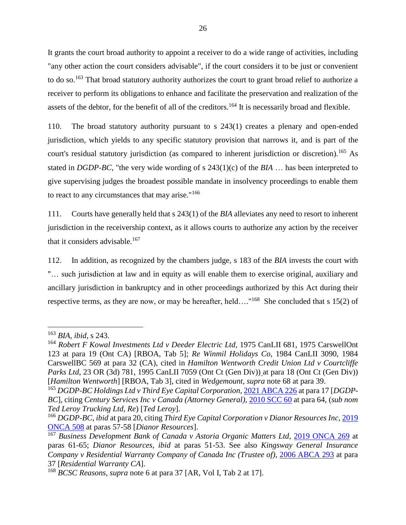It grants the court broad authority to appoint a receiver to do a wide range of activities, including "any other action the court considers advisable", if the court considers it to be just or convenient to do so.<sup>163</sup> That broad statutory authority authorizes the court to grant broad relief to authorize a receiver to perform its obligations to enhance and facilitate the preservation and realization of the assets of the debtor, for the benefit of all of the creditors.<sup>164</sup> It is necessarily broad and flexible.

<span id="page-28-1"></span><span id="page-28-0"></span>110. The broad statutory authority pursuant to s 243(1) creates a plenary and open-ended jurisdiction, which yields to any specific statutory provision that narrows it, and is part of the court's residual statutory jurisdiction (as compared to inherent jurisdiction or discretion)*.* <sup>165</sup> As stated in *DGDP-BC*, "the very wide wording of s 243(1)(c) of the *BIA* … has been interpreted to give supervising judges the broadest possible mandate in insolvency proceedings to enable them to react to any circumstances that may arise."<sup>166</sup>

111. Courts have generally held that s 243(1) of the *BIA* alleviates any need to resort to inherent jurisdiction in the receivership context, as it allows courts to authorize any action by the receiver that it considers advisable.<sup>167</sup>

<span id="page-28-2"></span>112. In addition, as recognized by the chambers judge, s 183 of the *BIA* invests the court with "… such jurisdiction at law and in equity as will enable them to exercise original, auxiliary and ancillary jurisdiction in bankruptcy and in other proceedings authorized by this Act during their respective terms, as they are now, or may be hereafter, held...."<sup>168</sup> She concluded that s 15(2) of

<sup>163</sup> *BIA*, *ibid,* s 243.

<sup>&</sup>lt;sup>164</sup> Robert F Kowal Investments Ltd v Deeder Electric Ltd, 1975 CanLII 681, 1975 CarswellOnt 123 at para 19 (Ont CA) [RBOA, Tab 5]; *Re Winmil Holidays Co*, 1984 CanLII 3090, 1984 CarswellBC 569 at para 32 (CA), cited in *Hamilton Wentworth Credit Union Ltd v Courtcliffe Parks Ltd*, 23 OR (3d) 781, 1995 CanLII 7059 (Ont Ct (Gen Div)) at para 18 (Ont Ct (Gen Div)) [*Hamilton Wentworth*] [RBOA, Tab 3], cited in *Wedgemount*, *supra* note [68](#page-14-0) at para 39.

<sup>165</sup> *DGDP-BC Holdings Ltd v Third Eye Capital Corporation*[, 2021 ABCA 226](https://canlii.ca/t/jggc4#par17) at para 17 [*DGDP-BC*], citing *Century Services Inc v Canada (Attorney General)*, [2010 SCC 60](https://canlii.ca/t/2dz21#par64) at para 64, (*sub nom Ted Leroy Trucking Ltd, Re*) [*Ted Leroy*].

<sup>166</sup> *DGDP-BC*, *ibid* at para 20, citing *Third Eye Capital Corporation v Dianor Resources Inc*, [2019](https://canlii.ca/t/j12dh#par57)  [ONCA 508](https://canlii.ca/t/j12dh#par57) at paras 57-58 [*Dianor Resources*].

<sup>167</sup> *Business Development Bank of Canada v Astoria Organic Matters Ltd*, [2019 ONCA 269](https://canlii.ca/t/hzm8q#par61) at paras 61-65; *Dianor Resources*, *ibid* at paras 51-53. See also *Kingsway General Insurance Company v Residential Warranty Company of Canada Inc (Trustee of)*, [2006 ABCA 293](https://canlii.ca/t/1pt6p#par37) at para 37 [*Residential Warranty CA*].

<sup>168</sup> *BCSC Reasons*, *supra* note [6](#page-4-2) at para 37 [AR, Vol I, Tab 2 at 17].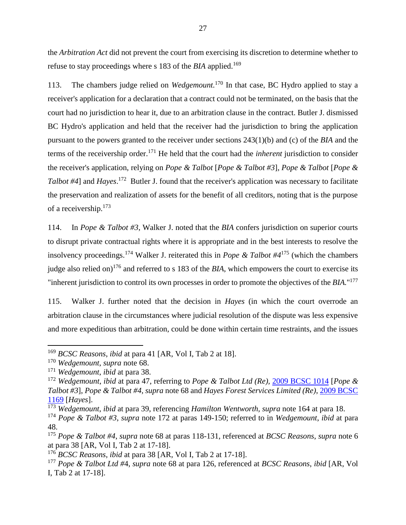the *Arbitration Act* did not prevent the court from exercising its discretion to determine whether to refuse to stay proceedings where s 183 of the *BIA* applied.<sup>169</sup>

113. The chambers judge relied on *Wedgemount.* <sup>170</sup> In that case, BC Hydro applied to stay a receiver's application for a declaration that a contract could not be terminated, on the basis that the court had no jurisdiction to hear it, due to an arbitration clause in the contract. Butler J. dismissed BC Hydro's application and held that the receiver had the jurisdiction to bring the application pursuant to the powers granted to the receiver under sections 243(1)(b) and (c) of the *BIA* and the terms of the receivership order.<sup>171</sup> He held that the court had the *inherent* jurisdiction to consider the receiver's application, relying on *Pope & Talbot* [*Pope & Talbot #3*], *Pope & Talbot* [*Pope &* Talbot #4] and *Hayes*.<sup>172</sup> Butler J. found that the receiver's application was necessary to facilitate the preservation and realization of assets for the benefit of all creditors, noting that is the purpose of a receivership.<sup>173</sup>

<span id="page-29-0"></span>114. In *Pope & Talbot #3*, Walker J. noted that the *BIA* confers jurisdiction on superior courts to disrupt private contractual rights where it is appropriate and in the best interests to resolve the insolvency proceedings.<sup>174</sup> Walker J. reiterated this in *Pope & Talbot #4* <sup>175</sup> (which the chambers judge also relied on)<sup>176</sup> and referred to s 183 of the *BIA*, which empowers the court to exercise its "inherent jurisdiction to control its own processes in order to promote the objectives of the *BIA*."<sup>177</sup>

115. Walker J. further noted that the decision in *Hayes* (in which the court overrode an arbitration clause in the circumstances where judicial resolution of the dispute was less expensive and more expeditious than arbitration, could be done within certain time restraints, and the issues

<sup>169</sup> *BCSC Reasons*, *ibid* at para 41 [AR, Vol I, Tab 2 at 18].

<sup>170</sup> *Wedgemount*, *supra* note [68.](#page-14-0)

<sup>171</sup> *Wedgemount*, *ibid* at para 38.

<sup>172</sup> *Wedgemount*, *ibid* at para 47, referring to *Pope & Talbot Ltd (Re),* [2009 BCSC 1014](https://canlii.ca/t/24vkm) [*Pope & Talbot #3*], *Pope & Talbot #4*, *supra* note [68](#page-14-0) and *Hayes Forest Services Limited (Re)*, [2009 BCSC](https://canlii.ca/t/25bp5)  [1169](https://canlii.ca/t/25bp5) [*Hayes*].

<sup>173</sup> *Wedgemount*, *ibid* at para 39, referencing *Hamilton Wentworth, supra* note [164](#page-28-0) at para 18.

<sup>174</sup> *Pope & Talbot #3*, *supra* note [172](#page-29-0) at paras 149-150; referred to in *Wedgemount*, *ibid* at para 48.

<sup>175</sup> *Pope & Talbot #4*, *supra* note [68](#page-14-0) at paras 118-131, referenced at *BCSC Reasons*, *supra* note [6](#page-4-2) at para 38 [AR, Vol I, Tab 2 at 17-18].

<sup>176</sup> *BCSC Reasons*, *ibid* at para 38 [AR, Vol I, Tab 2 at 17-18].

<sup>177</sup> *Pope & Talbot Ltd #*4, *supra* note [68](#page-14-0) at para 126, referenced at *BCSC Reasons*, *ibid* [AR, Vol I, Tab 2 at 17-18].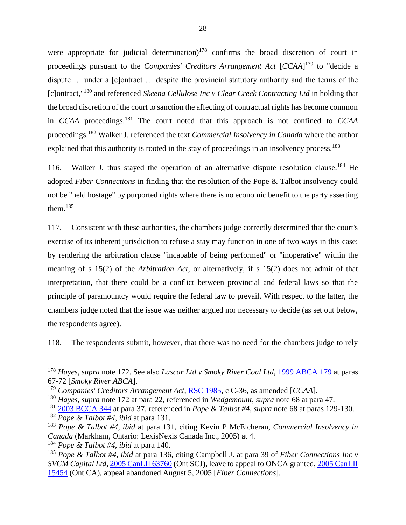<span id="page-30-1"></span>were appropriate for judicial determination)<sup>178</sup> confirms the broad discretion of court in proceedings pursuant to the *Companies' Creditors Arrangement Act* [*CCAA*] <sup>179</sup> to "decide a dispute … under a [c]ontract … despite the provincial statutory authority and the terms of the [c]ontract," <sup>180</sup> and referenced *Skeena Cellulose Inc v Clear Creek Contracting Ltd* in holding that the broad discretion of the court to sanction the affecting of contractual rights has become common in *CCAA* proceedings.<sup>181</sup> The court noted that this approach is not confined to *CCAA* proceedings.<sup>182</sup> Walker J. referenced the text *Commercial Insolvency in Canada* where the author explained that this authority is rooted in the stay of proceedings in an insolvency process.<sup>183</sup>

116. Walker J. thus stayed the operation of an alternative dispute resolution clause.<sup>184</sup> He adopted *Fiber Connections* in finding that the resolution of the Pope & Talbot insolvency could not be "held hostage" by purported rights where there is no economic benefit to the party asserting them.<sup>185</sup>

<span id="page-30-0"></span>117. Consistent with these authorities, the chambers judge correctly determined that the court's exercise of its inherent jurisdiction to refuse a stay may function in one of two ways in this case: by rendering the arbitration clause "incapable of being performed" or "inoperative" within the meaning of s 15(2) of the *Arbitration Act*, or alternatively, if s 15(2) does not admit of that interpretation, that there could be a conflict between provincial and federal laws so that the principle of paramountcy would require the federal law to prevail. With respect to the latter, the chambers judge noted that the issue was neither argued nor necessary to decide (as set out below, the respondents agree).

118. The respondents submit, however, that there was no need for the chambers judge to rely

<sup>181</sup> [2003 BCCA 344](https://canlii.ca/t/59mc#par37) at para 37, referenced in *Pope & Talbot #4*, *supra* note [68](#page-14-0) at paras 129-130.

<sup>178</sup> *Hayes*, *supra* note [172.](#page-29-0) See also *Luscar Ltd v Smoky River Coal Ltd,* [1999 ABCA 179](https://canlii.ca/t/5s7n#par67) at paras 67-72 [*Smoky River ABCA*].

<sup>179</sup> *Companies' Creditors Arrangement Act*, [RSC 1985,](https://laws-lois.justice.gc.ca/eng/acts/c-36/FullText.html) c C-36, as amended [*CCAA*].

<sup>180</sup> *Hayes*, *supra* note [172](#page-29-0) at para 22, referenced in *Wedgemount*, *supra* note [68](#page-14-0) at para 47.

<sup>182</sup> *Pope & Talbot #4*, *ibid* at para 131.

<sup>183</sup> *Pope & Talbot #4*, *ibid* at para 131, citing Kevin P McElcheran, *Commercial Insolvency in Canada* (Markham, Ontario: LexisNexis Canada Inc., 2005) at 4.

<sup>184</sup> *Pope & Talbot #4*, *ibid* at para 140.

<sup>185</sup> *Pope & Talbot #4*, *ibid* at para 136, citing Campbell J. at para 39 of *Fiber Connections Inc v SVCM Capital Ltd*, [2005 CanLII 63760](https://canlii.ca/t/232db#par39) (Ont SCJ), leave to appeal to ONCA granted, [2005 CanLII](https://www.canlii.org/en/on/onca/doc/2005/2005canlii15454/2005canlii15454.html)  [15454](https://www.canlii.org/en/on/onca/doc/2005/2005canlii15454/2005canlii15454.html) (Ont CA), appeal abandoned August 5, 2005 [*Fiber Connections*].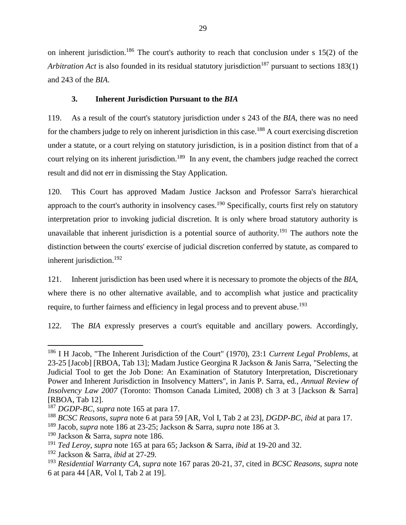on inherent jurisdiction.<sup>186</sup> The court's authority to reach that conclusion under s  $15(2)$  of the *Arbitration Act* is also founded in its residual statutory jurisdiction<sup>187</sup> pursuant to sections 183(1) and 243 of the *BIA*.

## <span id="page-31-1"></span>**3. Inherent Jurisdiction Pursuant to the** *BIA*

<span id="page-31-0"></span>119. As a result of the court's statutory jurisdiction under s 243 of the *BIA*, there was no need for the chambers judge to rely on inherent jurisdiction in this case.<sup>188</sup> A court exercising discretion under a statute, or a court relying on statutory jurisdiction, is in a position distinct from that of a court relying on its inherent jurisdiction.<sup>189</sup> In any event, the chambers judge reached the correct result and did not err in dismissing the Stay Application.

120. This Court has approved Madam Justice Jackson and Professor Sarra's hierarchical approach to the court's authority in insolvency cases.<sup>190</sup> Specifically, courts first rely on statutory interpretation prior to invoking judicial discretion. It is only where broad statutory authority is unavailable that inherent jurisdiction is a potential source of authority.<sup>191</sup> The authors note the distinction between the courts' exercise of judicial discretion conferred by statute, as compared to inherent jurisdiction. 192

121. Inherent jurisdiction has been used where it is necessary to promote the objects of the *BIA*, where there is no other alternative available, and to accomplish what justice and practicality require, to further fairness and efficiency in legal process and to prevent abuse.<sup>193</sup>

122. The *BIA* expressly preserves a court's equitable and ancillary powers. Accordingly,

 $\overline{a}$ <sup>186</sup> I H Jacob, "The Inherent Jurisdiction of the Court" (1970), 23:1 *Current Legal Problems*, at 23-25 [Jacob] [RBOA, Tab 13]; Madam Justice Georgina R Jackson & Janis Sarra, "Selecting the Judicial Tool to get the Job Done: An Examination of Statutory Interpretation, Discretionary Power and Inherent Jurisdiction in Insolvency Matters", in Janis P. Sarra, ed., *Annual Review of Insolvency Law 2007* (Toronto: Thomson Canada Limited, 2008) ch 3 at 3 [Jackson & Sarra] [RBOA, Tab 12].

<sup>187</sup> *DGDP-BC, supra* note [165](#page-28-1) at para 17.

<sup>188</sup> *BCSC Reasons*, *supra* note [6](#page-4-2) at para 59 [AR, Vol I, Tab 2 at 23], *DGDP-BC*, *ibid* at para 17.

<sup>189</sup> Jacob, *supra* note [186](#page-31-1) at 23-25; Jackson & Sarra, *supra* note [186](#page-31-1) at 3.

<sup>190</sup> Jackson & Sarra, *supra* note [186.](#page-31-1)

<sup>191</sup> *Ted Leroy, supra* note [165](#page-28-1) at para 65; Jackson & Sarra, *ibid* at 19-20 and 32.

<sup>192</sup> Jackson & Sarra, *ibid* at 27-29.

<sup>193</sup> *Residential Warranty CA*, *supra* note [167](#page-28-2) paras 20-21, 37, cited in *BCSC Reasons*, *supra* note [6](#page-4-2) at para 44 [AR, Vol I, Tab 2 at 19].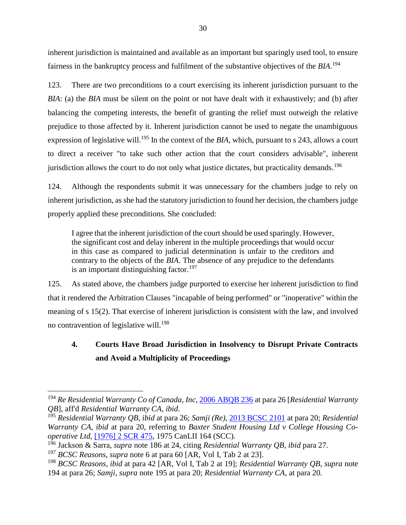<span id="page-32-1"></span>inherent jurisdiction is maintained and available as an important but sparingly used tool, to ensure fairness in the bankruptcy process and fulfilment of the substantive objectives of the *BIA*. 194

123. There are two preconditions to a court exercising its inherent jurisdiction pursuant to the *BIA*: (a) the *BIA* must be silent on the point or not have dealt with it exhaustively; and (b) after balancing the competing interests, the benefit of granting the relief must outweigh the relative prejudice to those affected by it. Inherent jurisdiction cannot be used to negate the unambiguous expression of legislative will.<sup>195</sup> In the context of the *BIA*, which, pursuant to s 243, allows a court to direct a receiver "to take such other action that the court considers advisable", inherent jurisdiction allows the court to do not only what justice dictates, but practicality demands.<sup>196</sup>

<span id="page-32-2"></span>124. Although the respondents submit it was unnecessary for the chambers judge to rely on inherent jurisdiction, as she had the statutory jurisdiction to found her decision, the chambers judge properly applied these preconditions. She concluded:

I agree that the inherent jurisdiction of the court should be used sparingly. However, the significant cost and delay inherent in the multiple proceedings that would occur in this case as compared to judicial determination is unfair to the creditors and contrary to the objects of the *BIA*. The absence of any prejudice to the defendants is an important distinguishing factor.<sup>197</sup>

125. As stated above, the chambers judge purported to exercise her inherent jurisdiction to find that it rendered the Arbitration Clauses "incapable of being performed" or "inoperative" within the meaning of s 15(2). That exercise of inherent jurisdiction is consistent with the law, and involved no contravention of legislative will.<sup>198</sup>

# <span id="page-32-0"></span>**4. Courts Have Broad Jurisdiction in Insolvency to Disrupt Private Contracts and Avoid a Multiplicity of Proceedings**

<sup>194</sup> *Re Residential Warranty Co of Canada, Inc*[, 2006 ABQB 236](https://canlii.ca/t/1mxf1#par26) at para 26 [*Residential Warranty QB*], aff'd *Residential Warranty CA*, *ibid*.

<sup>195</sup> *Residential Warranty QB*, *ibid* at para 26; *Samji (Re)*[, 2013 BCSC 2101](https://canlii.ca/t/g1xql#par20) at para 20; *Residential Warranty CA*, *ibid* at para 20, referring to *Baxter Student Housing Ltd v College Housing Cooperative Ltd*, [\[1976\] 2 SCR 475,](https://canlii.ca/t/1z6gt) 1975 CanLII 164 (SCC).

<sup>196</sup> Jackson & Sarra, *supra* note [186](#page-31-1) at 24, citing *Residential Warranty QB*, *ibid* para 27.

<sup>197</sup> *BCSC Reasons*, *supra* note [6](#page-4-2) at para 60 [AR, Vol I, Tab 2 at 23].

<sup>198</sup> *BCSC Reasons*, *ibid* at para 42 [AR, Vol I, Tab 2 at 19]; *Residential Warranty QB*, *supra* note [194](#page-32-1) at para 26; *Samji*, *supra* note [195](#page-32-2) at para 20; *Residential Warranty CA*, at para 20.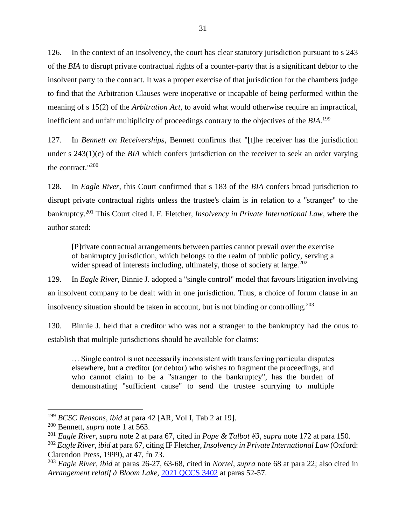126. In the context of an insolvency, the court has clear statutory jurisdiction pursuant to s 243 of the *BIA* to disrupt private contractual rights of a counter-party that is a significant debtor to the insolvent party to the contract. It was a proper exercise of that jurisdiction for the chambers judge to find that the Arbitration Clauses were inoperative or incapable of being performed within the meaning of s 15(2) of the *Arbitration Act*, to avoid what would otherwise require an impractical, inefficient and unfair multiplicity of proceedings contrary to the objectives of the *BIA*. 199

127. In *Bennett on Receiverships*, Bennett confirms that "[t]he receiver has the jurisdiction under s 243(1)(c) of the *BIA* which confers jurisdiction on the receiver to seek an order varying the contract."<sup>200</sup>

128. In *Eagle River*, this Court confirmed that s 183 of the *BIA* confers broad jurisdiction to disrupt private contractual rights unless the trustee's claim is in relation to a "stranger" to the bankruptcy. <sup>201</sup> This Court cited I. F. Fletcher, *Insolvency in Private International Law*, where the author stated:

[P]rivate contractual arrangements between parties cannot prevail over the exercise of bankruptcy jurisdiction, which belongs to the realm of public policy, serving a wider spread of interests including, ultimately, those of society at large. $202$ 

129. In *Eagle River*, Binnie J. adopted a "single control" model that favours litigation involving an insolvent company to be dealt with in one jurisdiction. Thus, a choice of forum clause in an insolvency situation should be taken in account, but is not binding or controlling.<sup>203</sup>

130. Binnie J. held that a creditor who was not a stranger to the bankruptcy had the onus to establish that multiple jurisdictions should be available for claims:

… Single control is not necessarily inconsistent with transferring particular disputes elsewhere, but a creditor (or debtor) who wishes to fragment the proceedings, and who cannot claim to be a "stranger to the bankruptcy", has the burden of demonstrating "sufficient cause" to send the trustee scurrying to multiple

<sup>199</sup> *BCSC Reasons*, *ibid* at para 42 [AR, Vol I, Tab 2 at 19].

<sup>200</sup> Bennett, *supra* note [1](#page-3-2) at 563.

<sup>201</sup> *Eagle River*, *supra* note [2](#page-3-3) at para 67, cited in *Pope & Talbot #3*, *supra* note [172](#page-29-0) at para 150.

<sup>202</sup> *Eagle River*, *ibid* at para 67, citing IF Fletcher, *Insolvency in Private International Law* (Oxford: Clarendon Press, 1999), at 47, fn 73.

<sup>203</sup> *Eagle River*, *ibid* at paras 26-27, 63-68, cited in *Nortel*, *supra* note [68](#page-14-0) at para 22; also cited in *Arrangement relatif à Bloom Lake*, [2021 QCCS 3402](https://canlii.ca/t/jhk49#par52) at paras 52-57.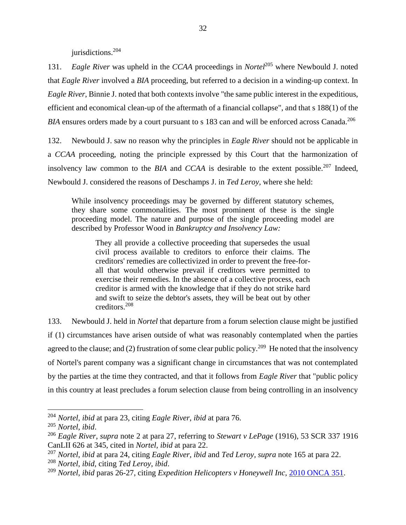jurisdictions.<sup>204</sup>

131. *Eagle River* was upheld in the *CCAA* proceedings in *Nortel*<sup>205</sup> where Newbould J. noted that *Eagle River* involved a *BIA* proceeding, but referred to a decision in a winding-up context. In *Eagle River*, Binnie J. noted that both contexts involve "the same public interest in the expeditious, efficient and economical clean-up of the aftermath of a financial collapse", and that s 188(1) of the BIA ensures orders made by a court pursuant to s 183 can and will be enforced across Canada.<sup>206</sup>

132. Newbould J. saw no reason why the principles in *Eagle River* should not be applicable in a *CCAA* proceeding, noting the principle expressed by this Court that the harmonization of insolvency law common to the *BIA* and *CCAA* is desirable to the extent possible.<sup>207</sup> Indeed, Newbould J. considered the reasons of Deschamps J. in *Ted Leroy,* where she held:

While insolvency proceedings may be governed by different statutory schemes, they share some commonalities. The most prominent of these is the single proceeding model. The nature and purpose of the single proceeding model are described by Professor Wood in *Bankruptcy and Insolvency Law:*

They all provide a collective proceeding that supersedes the usual civil process available to creditors to enforce their claims. The creditors' remedies are collectivized in order to prevent the free-forall that would otherwise prevail if creditors were permitted to exercise their remedies. In the absence of a collective process, each creditor is armed with the knowledge that if they do not strike hard and swift to seize the debtor's assets, they will be beat out by other creditors.<sup>208</sup>

133. Newbould J. held in *Nortel* that departure from a forum selection clause might be justified if (1) circumstances have arisen outside of what was reasonably contemplated when the parties agreed to the clause; and (2) frustration of some clear public policy.<sup>209</sup> He noted that the insolvency of Nortel's parent company was a significant change in circumstances that was not contemplated by the parties at the time they contracted, and that it follows from *Eagle River* that "public policy in this country at least precludes a forum selection clause from being controlling in an insolvency

<sup>204</sup> *Nortel, ibid* at para 23, citing *Eagle River*, *ibid* at para 76.

<sup>205</sup> *Nortel*, *ibid*.

<sup>206</sup> *Eagle River*, *supra* note [2](#page-3-3) at para 27, referring to *Stewart v LePage* (1916), 53 SCR 337 1916 CanLII 626 at 345, cited in *Nortel*, *ibid* at para 22.

<sup>207</sup> *Nortel*, *ibid* at para 24, citing *Eagle River, ibid* and *Ted Leroy, supra* note [165](#page-28-1) at para 22. <sup>208</sup> *Nortel*, *ibid,* citing *Ted Leroy*, *ibid*.

<sup>209</sup> *Nortel*, *ibid* paras 26-27, citing *Expedition Helicopters v Honeywell Inc*, [2010 ONCA 351.](https://canlii.ca/t/29qp2)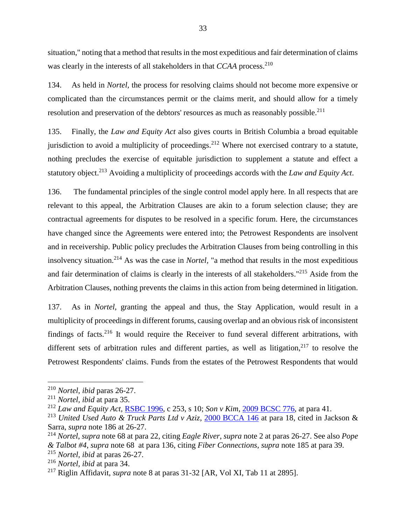situation," noting that a method that results in the most expeditious and fair determination of claims was clearly in the interests of all stakeholders in that *CCAA* process.<sup>210</sup>

134. As held in *Nortel,* the process for resolving claims should not become more expensive or complicated than the circumstances permit or the claims merit, and should allow for a timely resolution and preservation of the debtors' resources as much as reasonably possible.<sup>211</sup>

135. Finally, the *Law and Equity Act* also gives courts in British Columbia a broad equitable jurisdiction to avoid a multiplicity of proceedings.<sup>212</sup> Where not exercised contrary to a statute, nothing precludes the exercise of equitable jurisdiction to supplement a statute and effect a statutory object.<sup>213</sup> Avoiding a multiplicity of proceedings accords with the *Law and Equity Act*.

136. The fundamental principles of the single control model apply here. In all respects that are relevant to this appeal, the Arbitration Clauses are akin to a forum selection clause; they are contractual agreements for disputes to be resolved in a specific forum. Here, the circumstances have changed since the Agreements were entered into; the Petrowest Respondents are insolvent and in receivership. Public policy precludes the Arbitration Clauses from being controlling in this insolvency situation.<sup>214</sup> As was the case in *Nortel,* "a method that results in the most expeditious and fair determination of claims is clearly in the interests of all stakeholders." <sup>215</sup> Aside from the Arbitration Clauses, nothing prevents the claims in this action from being determined in litigation.

137. As in *Nortel*, granting the appeal and thus, the Stay Application, would result in a multiplicity of proceedings in different forums, causing overlap and an obvious risk of inconsistent findings of facts.<sup>216</sup> It would require the Receiver to fund several different arbitrations, with different sets of arbitration rules and different parties, as well as litigation,  $2^{17}$  to resolve the Petrowest Respondents' claims. Funds from the estates of the Petrowest Respondents that would

<sup>210</sup> *Nortel, ibid* paras 26-27.

<sup>211</sup> *Nortel, ibid* at para 35.

<sup>212</sup> *Law and Equity Act,* [RSBC 1996,](https://www.bclaws.gov.bc.ca/civix/document/id/complete/statreg/96253_01#section10) c 253, s 10; *Son v Kim*, [2009 BCSC 776,](https://canlii.ca/t/23z0z#par41) at para 41.

<sup>213</sup> *United Used Auto & Truck Parts Ltd v Aziz*, [2000 BCCA 146](https://canlii.ca/t/534f#par18) at para 18, cited in Jackson & Sarra, *supra* note [186](#page-31-1) at 26-27.

<sup>214</sup> *Nortel*, *supra* note [68](#page-14-0) at para 22, citing *Eagle River*, *supra* note [2](#page-3-3) at paras 26-27. See also *Pope & Talbot #4*, *supra* note [68](#page-14-0) at para 136, citing *Fiber Connections, supra* note [185](#page-30-0) at para 39. <sup>215</sup> *Nortel, ibid* at paras 26-27.

<sup>216</sup> *Nortel, ibid* at para 34.

<sup>217</sup> Riglin Affidavit, *supra* note [8](#page-5-1) at paras 31-32 [AR, Vol XI, Tab 11 at 2895].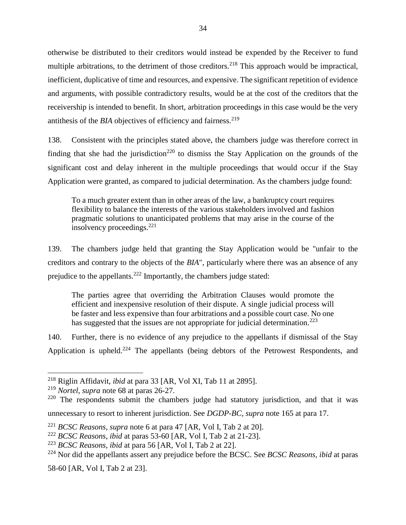otherwise be distributed to their creditors would instead be expended by the Receiver to fund multiple arbitrations, to the detriment of those creditors.<sup>218</sup> This approach would be impractical, inefficient, duplicative of time and resources, and expensive. The significant repetition of evidence and arguments, with possible contradictory results, would be at the cost of the creditors that the receivership is intended to benefit. In short, arbitration proceedings in this case would be the very antithesis of the *BIA* objectives of efficiency and fairness.<sup>219</sup>

138. Consistent with the principles stated above, the chambers judge was therefore correct in finding that she had the jurisdiction<sup>220</sup> to dismiss the Stay Application on the grounds of the significant cost and delay inherent in the multiple proceedings that would occur if the Stay Application were granted, as compared to judicial determination. As the chambers judge found:

To a much greater extent than in other areas of the law, a bankruptcy court requires flexibility to balance the interests of the various stakeholders involved and fashion pragmatic solutions to unanticipated problems that may arise in the course of the insolvency proceedings.<sup>221</sup>

139. The chambers judge held that granting the Stay Application would be "unfair to the creditors and contrary to the objects of the *BIA*", particularly where there was an absence of any prejudice to the appellants.<sup>222</sup> Importantly, the chambers judge stated:

The parties agree that overriding the Arbitration Clauses would promote the efficient and inexpensive resolution of their dispute. A single judicial process will be faster and less expensive than four arbitrations and a possible court case. No one has suggested that the issues are not appropriate for judicial determination.<sup>223</sup>

140. Further, there is no evidence of any prejudice to the appellants if dismissal of the Stay Application is upheld.<sup>224</sup> The appellants (being debtors of the Petrowest Respondents, and

 $\overline{a}$ 

58-60 [AR, Vol I, Tab 2 at 23].

<sup>218</sup> Riglin Affidavit, *ibid* at para 33 [AR, Vol XI, Tab 11 at 2895].

<sup>219</sup> *Nortel*, *supra* not[e 68](#page-14-0) at paras 26-27.

<sup>&</sup>lt;sup>220</sup> The respondents submit the chambers judge had statutory jurisdiction, and that it was

unnecessary to resort to inherent jurisdiction. See *DGDP-BC*, *supra* note [165](#page-28-1) at para 17.

<sup>221</sup> *BCSC Reasons, supra* note [6](#page-4-2) at para 47 [AR, Vol I, Tab 2 at 20].

<sup>222</sup> *BCSC Reasons*, *ibid* at paras 53-60 [AR, Vol I, Tab 2 at 21-23].

<sup>223</sup> *BCSC Reasons, ibid* at para 56 [AR, Vol I, Tab 2 at 22].

<sup>224</sup> Nor did the appellants assert any prejudice before the BCSC. See *BCSC Reasons, ibid* at paras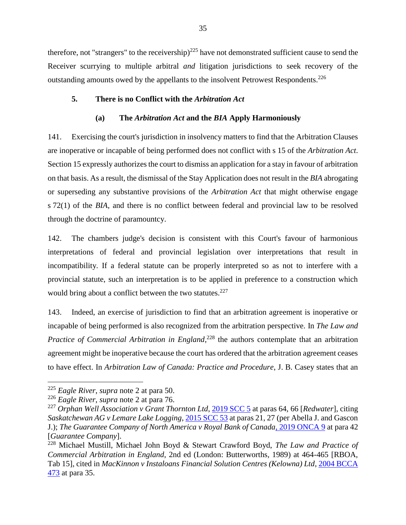therefore, not "strangers" to the receivership) $^{225}$  have not demonstrated sufficient cause to send the Receiver scurrying to multiple arbitral *and* litigation jurisdictions to seek recovery of the outstanding amounts owed by the appellants to the insolvent Petrowest Respondents.<sup>226</sup>

## <span id="page-37-0"></span>**5. There is no Conflict with the** *Arbitration Act*

### **(a) The** *Arbitration Act* **and the** *BIA* **Apply Harmoniously**

<span id="page-37-1"></span>141. Exercising the court's jurisdiction in insolvency matters to find that the Arbitration Clauses are inoperative or incapable of being performed does not conflict with s 15 of the *Arbitration Act*. Section 15 expressly authorizes the court to dismiss an application for a stay in favour of arbitration on that basis. As a result, the dismissal of the Stay Application does not result in the *BIA* abrogating or superseding any substantive provisions of the *Arbitration Act* that might otherwise engage s 72(1) of the *BIA*, and there is no conflict between federal and provincial law to be resolved through the doctrine of paramountcy.

142. The chambers judge's decision is consistent with this Court's favour of harmonious interpretations of federal and provincial legislation over interpretations that result in incompatibility. If a federal statute can be properly interpreted so as not to interfere with a provincial statute, such an interpretation is to be applied in preference to a construction which would bring about a conflict between the two statutes.<sup>227</sup>

<span id="page-37-2"></span>143. Indeed, an exercise of jurisdiction to find that an arbitration agreement is inoperative or incapable of being performed is also recognized from the arbitration perspective. In *The Law and*  Practice of Commercial Arbitration in England,<sup>228</sup> the authors contemplate that an arbitration agreement might be inoperative because the court has ordered that the arbitration agreement ceases to have effect. In *Arbitration Law of Canada: Practice and Procedure*, J. B. Casey states that an

<sup>225</sup> *Eagle River*, *supra* note [2](#page-3-3) at para 50.

<sup>226</sup> *Eagle River*, *supra* note [2](#page-3-3) at para 76.

<sup>227</sup> *Orphan Well Association v Grant Thornton Ltd*, [2019 SCC 5](https://canlii.ca/t/hx95f#par64) at paras 64, 66 [*Redwater*], citing *Saskatchewan AG v Lemare Lake Logging*[, 2015 SCC 53](https://canlii.ca/t/gm22q#par21) at paras 21, 27 (per Abella J. and Gascon J.); *The Guarantee Company of North America v Royal Bank of Canada*[, 2019 ONCA 9](https://canlii.ca/t/hwz1n#par42) at para 42 [*Guarantee Company*].

<sup>228</sup> Michael Mustill, Michael John Boyd & Stewart Crawford Boyd, *The Law and Practice of Commercial Arbitration in England*, 2nd ed (London: Butterworths, 1989) at 464-465 [RBOA, Tab 15], cited in *MacKinnon v Instaloans Financial Solution Centres (Kelowna) Ltd*, [2004 BCCA](https://canlii.ca/t/1hv6h#par34)  [473](https://canlii.ca/t/1hv6h#par34) at para 35.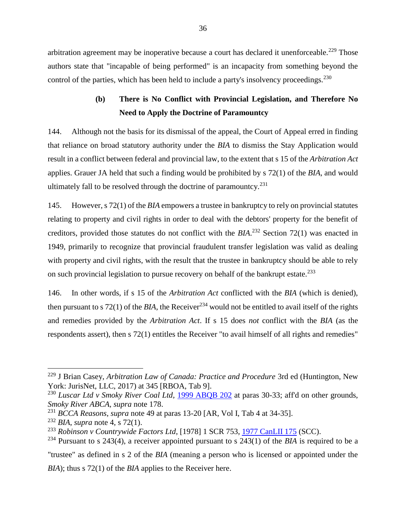arbitration agreement may be inoperative because a court has declared it unenforceable.<sup>229</sup> Those authors state that "incapable of being performed" is an incapacity from something beyond the control of the parties, which has been held to include a party's insolvency proceedings.<sup>230</sup>

## **(b) There is No Conflict with Provincial Legislation, and Therefore No Need to Apply the Doctrine of Paramountcy**

<span id="page-38-0"></span>144. Although not the basis for its dismissal of the appeal, the Court of Appeal erred in finding that reliance on broad statutory authority under the *BIA* to dismiss the Stay Application would result in a conflict between federal and provincial law, to the extent that s 15 of the *Arbitration Act* applies. Grauer JA held that such a finding would be prohibited by s 72(1) of the *BIA*, and would ultimately fall to be resolved through the doctrine of paramountcy.<sup>231</sup>

145. However, s 72(1) of the *BIA* empowers a trustee in bankruptcy to rely on provincial statutes relating to property and civil rights in order to deal with the debtors' property for the benefit of creditors, provided those statutes do not conflict with the *BIA*. <sup>232</sup> Section 72(1) was enacted in 1949, primarily to recognize that provincial fraudulent transfer legislation was valid as dealing with property and civil rights, with the result that the trustee in bankruptcy should be able to rely on such provincial legislation to pursue recovery on behalf of the bankrupt estate. $^{233}$ 

146. In other words, if s 15 of the *Arbitration Act* conflicted with the *BIA* (which is denied), then pursuant to s 72(1) of the *BIA*, the Receiver<sup>234</sup> would not be entitled to avail itself of the rights and remedies provided by the *Arbitration Act*. If s 15 does *not* conflict with the *BIA* (as the respondents assert), then s 72(1) entitles the Receiver "to avail himself of all rights and remedies"

<sup>229</sup> J Brian Casey, *Arbitration Law of Canada: Practice and Procedure* 3rd ed (Huntington, New York: JurisNet, LLC, 2017) at 345 [RBOA, Tab 9].

<sup>&</sup>lt;sup>230</sup> *Luscar Ltd v Smoky River Coal Ltd,* [1999 ABQB 202](https://canlii.ca/t/5pfp#par30) at paras 30-33; aff'd on other grounds, *Smoky River ABCA, supra* note [178.](#page-30-1)

<sup>231</sup> *BCCA Reasons*, *supra* note [49](#page-11-1) at paras 13-20 [AR, Vol I, Tab 4 at 34-35].

<sup>232</sup> *BIA*, *supra* note [4,](#page-4-3) s 72(1).

<sup>233</sup> *Robinson v Countrywide Factors Ltd*, [1978] 1 SCR 753[, 1977 CanLII 175](https://www.canlii.org/en/ca/scc/doc/1977/1977canlii175/1977canlii175.html) (SCC).

<sup>234</sup> Pursuant to s 243(4), a receiver appointed pursuant to s 243(1) of the *BIA* is required to be a

<sup>&</sup>quot;trustee" as defined in s 2 of the *BIA* (meaning a person who is licensed or appointed under the *BIA*); thus s 72(1) of the *BIA* applies to the Receiver here.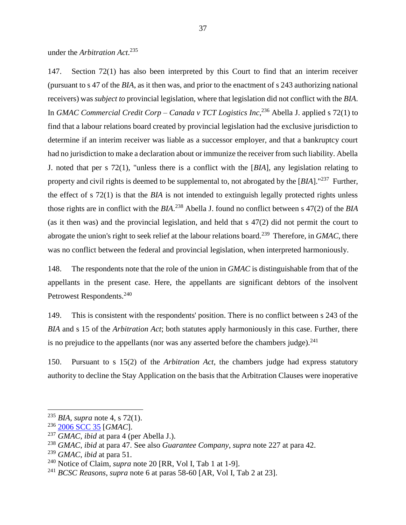under the *Arbitration Act*. 235

147. Section 72(1) has also been interpreted by this Court to find that an interim receiver (pursuant to s 47 of the *BIA*, as it then was, and prior to the enactment of s 243 authorizing national receivers) was *subject to* provincial legislation, where that legislation did not conflict with the *BIA*. In *GMAC Commercial Credit Corp – Canada v TCT Logistics Inc*, <sup>236</sup> Abella J. applied s 72(1) to find that a labour relations board created by provincial legislation had the exclusive jurisdiction to determine if an interim receiver was liable as a successor employer, and that a bankruptcy court had no jurisdiction to make a declaration about or immunize the receiver from such liability. Abella J. noted that per s 72(1), "unless there is a conflict with the [*BIA*], any legislation relating to property and civil rights is deemed to be supplemental to, not abrogated by the [BIA]."<sup>237</sup> Further, the effect of s 72(1) is that the *BIA* is not intended to extinguish legally protected rights unless those rights are in conflict with the *BIA*. <sup>238</sup> Abella J. found no conflict between s 47(2) of the *BIA* (as it then was) and the provincial legislation, and held that s 47(2) did not permit the court to abrogate the union's right to seek relief at the labour relations board.<sup>239</sup> Therefore, in *GMAC*, there was no conflict between the federal and provincial legislation, when interpreted harmoniously.

148. The respondents note that the role of the union in *GMAC* is distinguishable from that of the appellants in the present case. Here, the appellants are significant debtors of the insolvent Petrowest Respondents.<sup>240</sup>

149. This is consistent with the respondents' position. There is no conflict between s 243 of the *BIA* and s 15 of the *Arbitration Act*; both statutes apply harmoniously in this case. Further, there is no prejudice to the appellants (nor was any asserted before the chambers judge). $^{241}$ 

150. Pursuant to s 15(2) of the *Arbitration Act*, the chambers judge had express statutory authority to decline the Stay Application on the basis that the Arbitration Clauses were inoperative

<sup>235</sup> *BIA*, *supra* note [4,](#page-4-3) s 72(1).

<sup>236</sup> [2006 SCC 35](https://canlii.ca/t/1p0ml) [*GMAC*].

<sup>237</sup> *GMAC*, *ibid* at para 4 (per Abella J.).

<sup>238</sup> *GMAC*, *ibid* at para 47. See also *Guarantee Company*, *supra* note [227](#page-37-2) at para 42.

<sup>239</sup> *GMAC*, *ibid* at para 51.

<sup>240</sup> Notice of Claim, *supra* note [20](#page-6-1) [RR, Vol I, Tab 1 at 1-9].

<sup>241</sup> *BCSC Reasons*, *supra* note [6](#page-4-2) at paras 58-60 [AR, Vol I, Tab 2 at 23].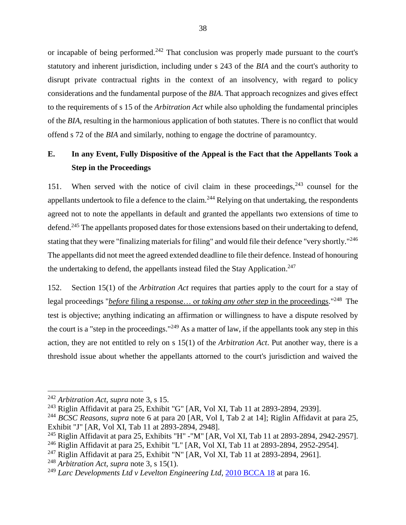or incapable of being performed.<sup>242</sup> That conclusion was properly made pursuant to the court's statutory and inherent jurisdiction, including under s 243 of the *BIA* and the court's authority to disrupt private contractual rights in the context of an insolvency, with regard to policy considerations and the fundamental purpose of the *BIA*. That approach recognizes and gives effect to the requirements of s 15 of the *Arbitration Act* while also upholding the fundamental principles of the *BIA*, resulting in the harmonious application of both statutes. There is no conflict that would offend s 72 of the *BIA* and similarly, nothing to engage the doctrine of paramountcy.

## <span id="page-40-0"></span>**E. In any Event, Fully Dispositive of the Appeal is the Fact that the Appellants Took a Step in the Proceedings**

151. When served with the notice of civil claim in these proceedings,  $243$  counsel for the appellants undertook to file a defence to the claim.<sup>244</sup> Relying on that undertaking, the respondents agreed not to note the appellants in default and granted the appellants two extensions of time to defend.<sup>245</sup> The appellants proposed dates for those extensions based on their undertaking to defend, stating that they were "finalizing materials for filing" and would file their defence "very shortly."<sup>246</sup> The appellants did not meet the agreed extended deadline to file their defence. Instead of honouring the undertaking to defend, the appellants instead filed the Stay Application.<sup>247</sup>

152. Section 15(1) of the *Arbitration Act* requires that parties apply to the court for a stay of legal proceedings "*before* filing a response… or *taking any other step* in the proceedings." 248 The test is objective; anything indicating an affirmation or willingness to have a dispute resolved by the court is a "step in the proceedings."<sup>249</sup> As a matter of law, if the appellants took any step in this action, they are not entitled to rely on s 15(1) of the *Arbitration Act*. Put another way, there is a threshold issue about whether the appellants attorned to the court's jurisdiction and waived the

<sup>242</sup> *Arbitration Act*, *supra* note [3,](#page-3-4) s 15.

<sup>243</sup> Riglin Affidavit at para 25, Exhibit "G" [AR, Vol XI, Tab 11 at 2893-2894, 2939].

<sup>244</sup> *BCSC Reasons*, *supra* note [6](#page-4-2) at para 20 [AR, Vol I, Tab 2 at 14]; Riglin Affidavit at para 25, Exhibit "J" [AR, Vol XI, Tab 11 at 2893-2894, 2948].

<sup>&</sup>lt;sup>245</sup> Riglin Affidavit at para 25, Exhibits "H" - "M" [AR, Vol XI, Tab 11 at 2893-2894, 2942-2957].

<sup>246</sup> Riglin Affidavit at para 25, Exhibit "L" [AR, Vol XI, Tab 11 at 2893-2894, 2952-2954].

<sup>&</sup>lt;sup>247</sup> Riglin Affidavit at para 25, Exhibit "N" [AR, Vol XI, Tab 11 at 2893-2894, 2961].

<sup>248</sup> *Arbitration Act*, *supra* note [3,](#page-3-4) s 15(1).

<sup>249</sup> *Larc Developments Ltd v Levelton Engineering Ltd*[, 2010 BCCA 18](https://canlii.ca/t/27hfj#par16) at para 16.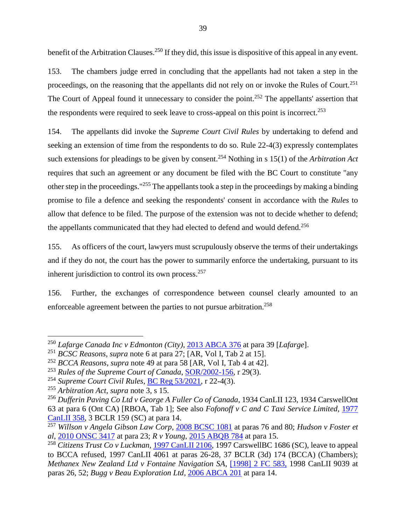<span id="page-41-0"></span>benefit of the Arbitration Clauses.<sup>250</sup> If they did, this issue is dispositive of this appeal in any event.

153. The chambers judge erred in concluding that the appellants had not taken a step in the proceedings, on the reasoning that the appellants did not rely on or invoke the Rules of Court.<sup>251</sup> The Court of Appeal found it unnecessary to consider the point.<sup>252</sup> The appellants' assertion that the respondents were required to seek leave to cross-appeal on this point is incorrect.<sup>253</sup>

154. The appellants did invoke the *Supreme Court Civil Rules* by undertaking to defend and seeking an extension of time from the respondents to do so. Rule 22-4(3) expressly contemplates such extensions for pleadings to be given by consent.<sup>254</sup> Nothing in s 15(1) of the *Arbitration Act* requires that such an agreement or any document be filed with the BC Court to constitute "any other step in the proceedings."<sup>255</sup> The appellants took a step in the proceedings by making a binding promise to file a defence and seeking the respondents' consent in accordance with the *Rules* to allow that defence to be filed. The purpose of the extension was not to decide whether to defend; the appellants communicated that they had elected to defend and would defend.<sup>256</sup>

155. As officers of the court, lawyers must scrupulously observe the terms of their undertakings and if they do not, the court has the power to summarily enforce the undertaking, pursuant to its inherent jurisdiction to control its own process.<sup>257</sup>

156. Further, the exchanges of correspondence between counsel clearly amounted to an enforceable agreement between the parties to not pursue arbitration.<sup>258</sup>

<sup>250</sup> *Lafarge Canada Inc v Edmonton (City)*, [2013 ABCA 376](https://canlii.ca/t/g1t5z#par39) at para 39 [*Lafarge*].

<sup>251</sup> *BCSC Reasons*, *supra* note [6](#page-4-2) at para 27; [AR, Vol I, Tab 2 at 15].

<sup>252</sup> *BCCA Reasons*, *supra* note [49](#page-11-1) at para 58 [AR, Vol I, Tab 4 at 42].

<sup>253</sup> *Rules of the Supreme Court of Canada*, [SOR/2002-156,](https://laws-lois.justice.gc.ca/eng/regulations/sor-2002-156/FullText.html#s-29) r 29(3).

<sup>254</sup> *Supreme Court Civil Rules*, [BC Reg 53/2021,](https://www.bclaws.gov.bc.ca/civix/document/id/complete/statreg/168_2009_03#subrule_d2e29295) r 22-4(3).

<sup>255</sup> *Arbitration Act*, *supra* note [3,](#page-3-4) s 15.

<sup>256</sup> *Dufferin Paving Co Ltd v George A Fuller Co of Canada*, 1934 CanLII 123, 1934 CarswellOnt 63 at para 6 (Ont CA) [RBOA, Tab 1]; See also *Fofonoff v C and C Taxi Service Limited*, [1977](https://canlii.ca/t/23fsr#par14)  [CanLII 358,](https://canlii.ca/t/23fsr#par14) 3 BCLR 159 (SC) at para 14.

<sup>257</sup> *Willson v Angela Gibson Law Corp*, [2008 BCSC 1081](https://canlii.ca/t/2064t#par76) at paras 76 and 80; *Hudson v Foster et al*, [2010 ONSC 3417](https://canlii.ca/t/2b4dr#par23) at para 23; *R v Young*, [2015 ABQB 784](https://canlii.ca/t/gmgzx#par15) at para 15.

<sup>258</sup> *Citizens Trust Co v Luckman*, [1997 CanLII 2106,](https://canlii.ca/t/1f4rc) 1997 CarswellBC 1686 (SC), leave to appeal to BCCA refused, 1997 CanLII 4061 at paras 26-28, 37 BCLR (3d) 174 (BCCA) (Chambers); *Methanex New Zealand Ltd v Fontaine Navigation SA*, [\[1998\] 2 FC 583,](https://canlii.ca/t/4cn6) 1998 CanLII 9039 at paras 26, 52; *Bugg v Beau Exploration Ltd*, [2006 ABCA 201](https://canlii.ca/t/1nnp2#par14) at para 14.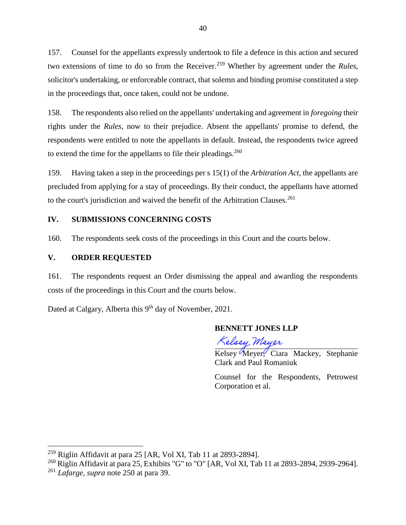157. Counsel for the appellants expressly undertook to file a defence in this action and secured two extensions of time to do so from the Receiver.<sup>259</sup> Whether by agreement under the *Rules*, solicitor's undertaking, or enforceable contract, that solemn and binding promise constituted a step in the proceedings that, once taken, could not be undone.

158. The respondents also relied on the appellants' undertaking and agreement in *foregoing* their rights under the *Rules*, now to their prejudice. Absent the appellants' promise to defend, the respondents were entitled to note the appellants in default. Instead, the respondents twice agreed to extend the time for the appellants to file their pleadings.<sup>260</sup>

159. Having taken a step in the proceedings per s 15(1) of the *Arbitration Act*, the appellants are precluded from applying for a stay of proceedings. By their conduct, the appellants have attorned to the court's jurisdiction and waived the benefit of the Arbitration Clauses.<sup>261</sup>

## <span id="page-42-0"></span>**IV. SUBMISSIONS CONCERNING COSTS**

160. The respondents seek costs of the proceedings in this Court and the courts below.

### <span id="page-42-1"></span>**V. ORDER REQUESTED**

161. The respondents request an Order dismissing the appeal and awarding the respondents costs of the proceedings in this Court and the courts below.

Dated at Calgary, Alberta this 9<sup>th</sup> day of November, 2021.

### **BENNETT JONES LLP**

Kelsey Meyer

Kelsey Meyer, Ciara Mackey, Stephanie Clark and Paul Romaniuk

Counsel for the Respondents, Petrowest Corporation et al.

 $259$  Riglin Affidavit at para 25 [AR, Vol XI, Tab 11 at 2893-2894].

<sup>&</sup>lt;sup>260</sup> Riglin Affidavit at para 25, Exhibits "G" to "O" [AR, Vol XI, Tab 11 at 2893-2894, 2939-2964].

<sup>261</sup> *Lafarge*, *supra* note [250](#page-41-0) at para 39.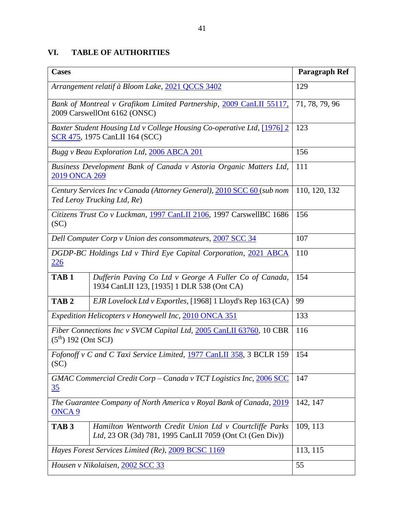## **VI. TABLE OF AUTHORITIES**

| <b>Cases</b>                                                                                        |                                                                                                                     | Paragraph Ref  |
|-----------------------------------------------------------------------------------------------------|---------------------------------------------------------------------------------------------------------------------|----------------|
| Arrangement relatif à Bloom Lake, 2021 QCCS 3402                                                    |                                                                                                                     | 129            |
| Bank of Montreal v Grafikom Limited Partnership, 2009 CanLII 55117,<br>2009 CarswellOnt 6162 (ONSC) |                                                                                                                     | 71, 78, 79, 96 |
|                                                                                                     | Baxter Student Housing Ltd v College Housing Co-operative Ltd, [1976] 2<br><b>SCR 475, 1975 CanLII 164 (SCC)</b>    | 123            |
|                                                                                                     | Bugg v Beau Exploration Ltd, 2006 ABCA 201                                                                          | 156            |
| Business Development Bank of Canada v Astoria Organic Matters Ltd,<br>2019 ONCA 269                 |                                                                                                                     | 111            |
|                                                                                                     | Century Services Inc v Canada (Attorney General), 2010 SCC 60 (sub nom<br>Ted Leroy Trucking Ltd, Re)               | 110, 120, 132  |
| Citizens Trust Co v Luckman, 1997 CanLII 2106, 1997 CarswellBC 1686<br>(SC)                         |                                                                                                                     | 156            |
|                                                                                                     | Dell Computer Corp v Union des consommateurs, 2007 SCC 34                                                           | 107            |
| DGDP-BC Holdings Ltd v Third Eye Capital Corporation, 2021 ABCA<br>226                              |                                                                                                                     | 110            |
| TAB <sub>1</sub>                                                                                    | Dufferin Paving Co Ltd v George A Fuller Co of Canada,<br>1934 CanLII 123, [1935] 1 DLR 538 (Ont CA)                | 154            |
| TAB <sub>2</sub>                                                                                    | EJR Lovelock Ltd v Exportles, [1968] 1 Lloyd's Rep 163 (CA)                                                         | 99             |
| Expedition Helicopters v Honeywell Inc, 2010 ONCA 351                                               |                                                                                                                     | 133            |
| Fiber Connections Inc v SVCM Capital Ltd, 2005 CanLII 63760, 10 CBR<br>$(5th)$ 192 (Ont SCJ)        |                                                                                                                     | 116            |
| Fofonoff v C and C Taxi Service Limited, 1977 CanLII 358, 3 BCLR 159<br>(SC)                        |                                                                                                                     | 154            |
| GMAC Commercial Credit Corp - Canada v TCT Logistics Inc, 2006 SCC<br><u>35</u>                     |                                                                                                                     | 147            |
| The Guarantee Company of North America v Royal Bank of Canada, 2019<br>ONCA <sub>9</sub>            |                                                                                                                     | 142, 147       |
| TAB <sub>3</sub>                                                                                    | Hamilton Wentworth Credit Union Ltd v Courtcliffe Parks<br>Ltd, 23 OR (3d) 781, 1995 CanLII 7059 (Ont Ct (Gen Div)) | 109, 113       |
| Hayes Forest Services Limited (Re), 2009 BCSC 1169                                                  |                                                                                                                     | 113, 115       |
| Housen v Nikolaisen, 2002 SCC 33                                                                    |                                                                                                                     | 55             |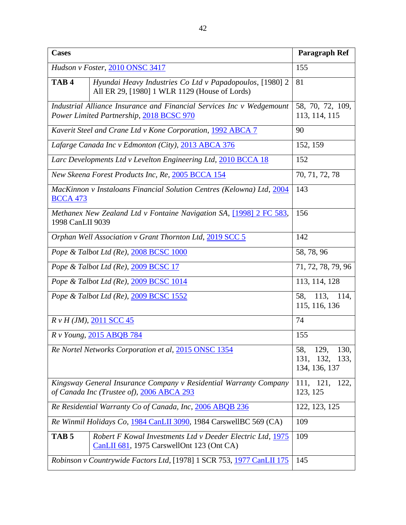| <b>Cases</b>                                                                                                      |                                                                                                           | Paragraph Ref                                                |
|-------------------------------------------------------------------------------------------------------------------|-----------------------------------------------------------------------------------------------------------|--------------------------------------------------------------|
| Hudson v Foster, 2010 ONSC 3417                                                                                   |                                                                                                           | 155                                                          |
| TAB <sub>4</sub>                                                                                                  | Hyundai Heavy Industries Co Ltd v Papadopoulos, [1980] 2<br>All ER 29, [1980] 1 WLR 1129 (House of Lords) | 81                                                           |
| Industrial Alliance Insurance and Financial Services Inc v Wedgemount<br>Power Limited Partnership, 2018 BCSC 970 |                                                                                                           | 58, 70, 72, 109,<br>113, 114, 115                            |
|                                                                                                                   | Kaverit Steel and Crane Ltd v Kone Corporation, 1992 ABCA 7                                               | 90                                                           |
|                                                                                                                   | Lafarge Canada Inc v Edmonton (City), 2013 ABCA 376                                                       | 152, 159                                                     |
|                                                                                                                   | Larc Developments Ltd v Levelton Engineering Ltd, 2010 BCCA 18                                            | 152                                                          |
|                                                                                                                   | New Skeena Forest Products Inc, Re, 2005 BCCA 154                                                         | 70, 71, 72, 78                                               |
| MacKinnon v Instaloans Financial Solution Centres (Kelowna) Ltd, 2004<br><b>BCCA 473</b>                          |                                                                                                           | 143                                                          |
| 1998 CanLII 9039                                                                                                  | Methanex New Zealand Ltd v Fontaine Navigation SA, [1998] 2 FC 583,                                       | 156                                                          |
| Orphan Well Association v Grant Thornton Ltd, 2019 SCC 5                                                          |                                                                                                           | 142                                                          |
| Pope & Talbot Ltd (Re), 2008 BCSC 1000                                                                            |                                                                                                           | 58, 78, 96                                                   |
| Pope & Talbot Ltd (Re), 2009 BCSC 17                                                                              |                                                                                                           | 71, 72, 78, 79, 96                                           |
| Pope & Talbot Ltd (Re), 2009 BCSC 1014                                                                            |                                                                                                           | 113, 114, 128                                                |
|                                                                                                                   | Pope & Talbot Ltd (Re), 2009 BCSC 1552                                                                    | 113,<br>58,<br>114,<br>115, 116, 136                         |
|                                                                                                                   | $R \nu H (JM)$ , 2011 SCC 45                                                                              | 74                                                           |
|                                                                                                                   | R v Young, 2015 ABQB 784                                                                                  | 155                                                          |
|                                                                                                                   | Re Nortel Networks Corporation et al, 2015 ONSC 1354                                                      | 58,<br>129,<br>130,<br>132,<br>131,<br>133,<br>134, 136, 137 |
| Kingsway General Insurance Company v Residential Warranty Company<br>of Canada Inc (Trustee of), 2006 ABCA 293    |                                                                                                           | 111, 121,<br>122,<br>123, 125                                |
| Re Residential Warranty Co of Canada, Inc, 2006 ABQB 236                                                          |                                                                                                           | 122, 123, 125                                                |
| Re Winmil Holidays Co, 1984 CanLII 3090, 1984 CarswellBC 569 (CA)                                                 |                                                                                                           | 109                                                          |
| TAB <sub>5</sub>                                                                                                  | Robert F Kowal Investments Ltd v Deeder Electric Ltd, 1975<br>CanLII 681, 1975 CarswellOnt 123 (Ont CA)   | 109                                                          |
| Robinson v Countrywide Factors Ltd, [1978] 1 SCR 753, 1977 CanLII 175                                             |                                                                                                           | 145                                                          |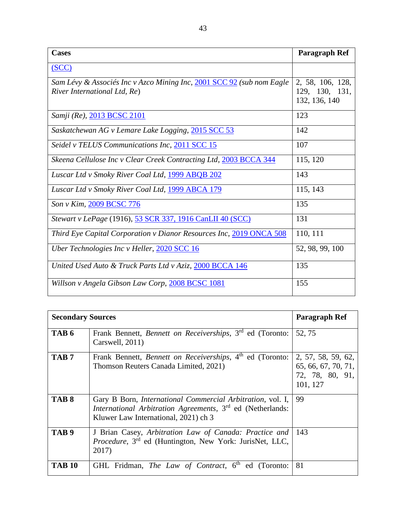| <b>Cases</b>                                                          | Paragraph Ref    |
|-----------------------------------------------------------------------|------------------|
| SCC                                                                   |                  |
| Sam Lévy & Associés Inc v Azco Mining Inc, 2001 SCC 92 (sub nom Eagle | 2, 58, 106, 128, |
| River International Ltd, Re)                                          | 129, 130, 131,   |
|                                                                       | 132, 136, 140    |
| Samji (Re), 2013 BCSC 2101                                            | 123              |
| Saskatchewan AG v Lemare Lake Logging, 2015 SCC 53                    | 142              |
| Seidel v TELUS Communications Inc, 2011 SCC 15                        | 107              |
| Skeena Cellulose Inc v Clear Creek Contracting Ltd, 2003 BCCA 344     | 115, 120         |
| Luscar Ltd v Smoky River Coal Ltd, 1999 ABQB 202                      | 143              |
| Luscar Ltd v Smoky River Coal Ltd, 1999 ABCA 179                      | 115, 143         |
| Son v Kim, 2009 BCSC 776                                              | 135              |
| Stewart v LePage (1916), 53 SCR 337, 1916 CanLII 40 (SCC)             | 131              |
| Third Eye Capital Corporation v Dianor Resources Inc, 2019 ONCA 508   | 110, 111         |
| Uber Technologies Inc v Heller, 2020 SCC 16                           | 52, 98, 99, 100  |
| United Used Auto & Truck Parts Ltd v Aziz, 2000 BCCA 146              | 135              |
| Willson v Angela Gibson Law Corp, 2008 BCSC 1081                      | 155              |

| <b>Secondary Sources</b> |                                                                                                                                                                                      | Paragraph Ref                                                            |
|--------------------------|--------------------------------------------------------------------------------------------------------------------------------------------------------------------------------------|--------------------------------------------------------------------------|
| TAB 6                    | Frank Bennett, Bennett on Receiverships, 3rd ed (Toronto:<br>Carswell, 2011)                                                                                                         | 52, 75                                                                   |
| TAB <sub>7</sub>         | Frank Bennett, Bennett on Receiverships, 4th ed (Toronto:  <br>Thomson Reuters Canada Limited, 2021)                                                                                 | 2, 57, 58, 59, 62,<br>65, 66, 67, 70, 71,<br>72, 78, 80, 91,<br>101, 127 |
| TAB <sub>8</sub>         | Gary B Born, <i>International Commercial Arbitration</i> , vol. I,<br>International Arbitration Agreements, 3 <sup>rd</sup> ed (Netherlands:<br>Kluwer Law International, 2021) ch 3 | 99                                                                       |
| TAB <sub>9</sub>         | J Brian Casey, Arbitration Law of Canada: Practice and<br><i>Procedure</i> , 3 <sup>rd</sup> ed (Huntington, New York: JurisNet, LLC,<br>2017)                                       | 143                                                                      |
| <b>TAB 10</b>            | GHL Fridman, The Law of Contract, 6 <sup>th</sup> ed (Toronto:                                                                                                                       | 81                                                                       |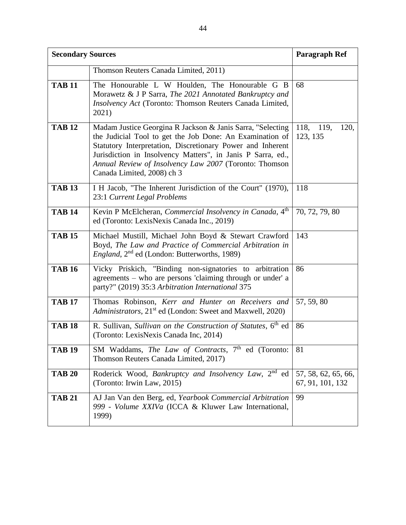| <b>Secondary Sources</b> |                                                                                                                                                                                                                                                                                                                                             | <b>Paragraph Ref</b>                    |
|--------------------------|---------------------------------------------------------------------------------------------------------------------------------------------------------------------------------------------------------------------------------------------------------------------------------------------------------------------------------------------|-----------------------------------------|
|                          | Thomson Reuters Canada Limited, 2011)                                                                                                                                                                                                                                                                                                       |                                         |
| <b>TAB 11</b>            | The Honourable L W Houlden, The Honourable G B<br>Morawetz & J P Sarra, The 2021 Annotated Bankruptcy and<br>Insolvency Act (Toronto: Thomson Reuters Canada Limited,<br>2021)                                                                                                                                                              | 68                                      |
| <b>TAB 12</b>            | Madam Justice Georgina R Jackson & Janis Sarra, "Selecting<br>the Judicial Tool to get the Job Done: An Examination of<br>Statutory Interpretation, Discretionary Power and Inherent<br>Jurisdiction in Insolvency Matters", in Janis P Sarra, ed.,<br>Annual Review of Insolvency Law 2007 (Toronto: Thomson<br>Canada Limited, 2008) ch 3 | 118,<br>119,<br>120,<br>123, 135        |
| <b>TAB 13</b>            | I H Jacob, "The Inherent Jurisdiction of the Court" (1970),<br>23:1 Current Legal Problems                                                                                                                                                                                                                                                  | 118                                     |
| <b>TAB 14</b>            | Kevin P McElcheran, Commercial Insolvency in Canada, 4 <sup>th</sup><br>ed (Toronto: LexisNexis Canada Inc., 2019)                                                                                                                                                                                                                          | 70, 72, 79, 80                          |
| <b>TAB 15</b>            | Michael Mustill, Michael John Boyd & Stewart Crawford<br>Boyd, The Law and Practice of Commercial Arbitration in<br><i>England</i> , 2 <sup>nd</sup> ed (London: Butterworths, 1989)                                                                                                                                                        | 143                                     |
| <b>TAB 16</b>            | Vicky Priskich, "Binding non-signatories to arbitration<br>agreements – who are persons 'claiming through or under' a<br>party?" (2019) 35:3 Arbitration International 375                                                                                                                                                                  | 86                                      |
| <b>TAB 17</b>            | Thomas Robinson, Kerr and Hunter on Receivers and<br>Administrators, 21 <sup>st</sup> ed (London: Sweet and Maxwell, 2020)                                                                                                                                                                                                                  | 57, 59, 80                              |
| <b>TAB 18</b>            | R. Sullivan, Sullivan on the Construction of Statutes, 6th ed<br>(Toronto: LexisNexis Canada Inc, 2014)                                                                                                                                                                                                                                     | 86                                      |
| <b>TAB 19</b>            | SM Waddams, The Law of Contracts, 7 <sup>th</sup> ed (Toronto:<br>Thomson Reuters Canada Limited, 2017)                                                                                                                                                                                                                                     | 81                                      |
| <b>TAB 20</b>            | Roderick Wood, Bankruptcy and Insolvency Law, 2 <sup>nd</sup> ed<br>(Toronto: Irwin Law, 2015)                                                                                                                                                                                                                                              | 57, 58, 62, 65, 66,<br>67, 91, 101, 132 |
| <b>TAB 21</b>            | AJ Jan Van den Berg, ed, Yearbook Commercial Arbitration<br>999 - Volume XXIVa (ICCA & Kluwer Law International,<br>1999)                                                                                                                                                                                                                   | 99                                      |